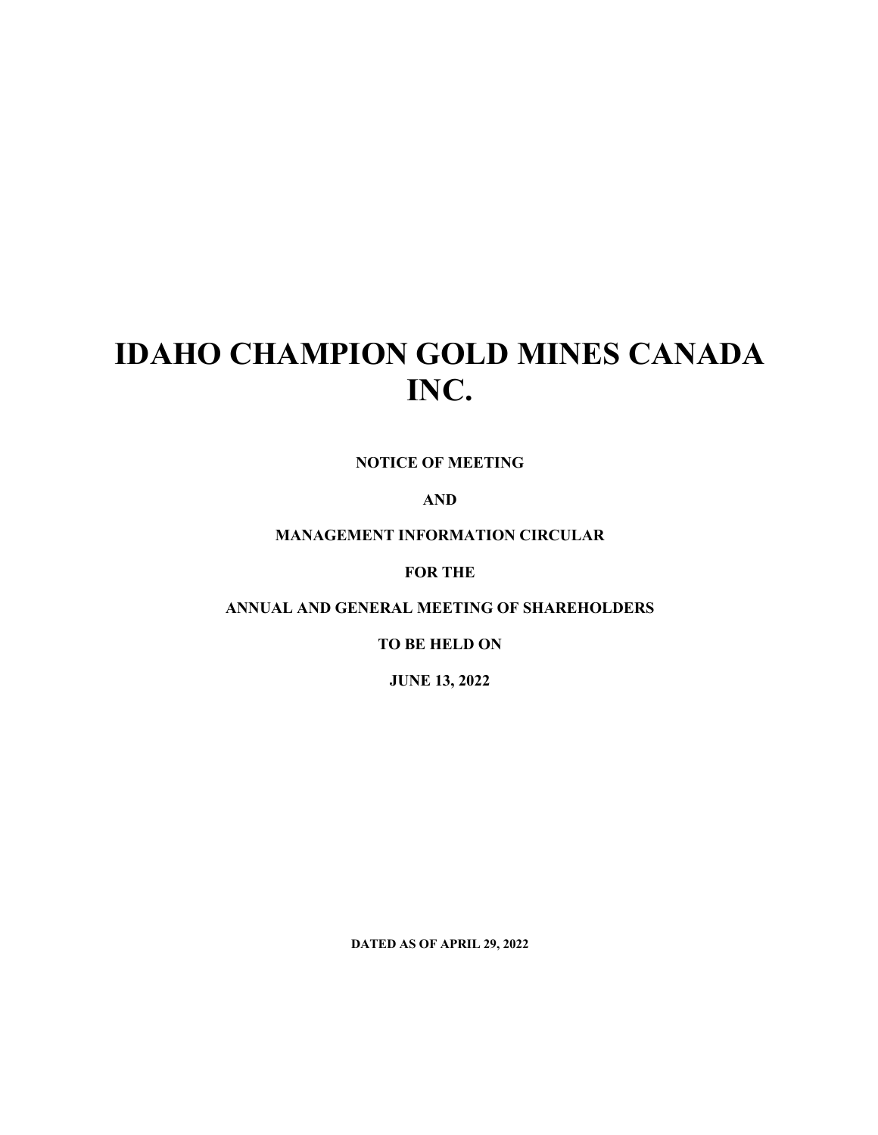# **IDAHO CHAMPION GOLD MINES CANADA INC.**

**NOTICE OF MEETING** 

**AND** 

**MANAGEMENT INFORMATION CIRCULAR**

**FOR THE** 

**ANNUAL AND GENERAL MEETING OF SHAREHOLDERS**

**TO BE HELD ON** 

**JUNE 13, 2022**

**DATED AS OF APRIL 29, 2022**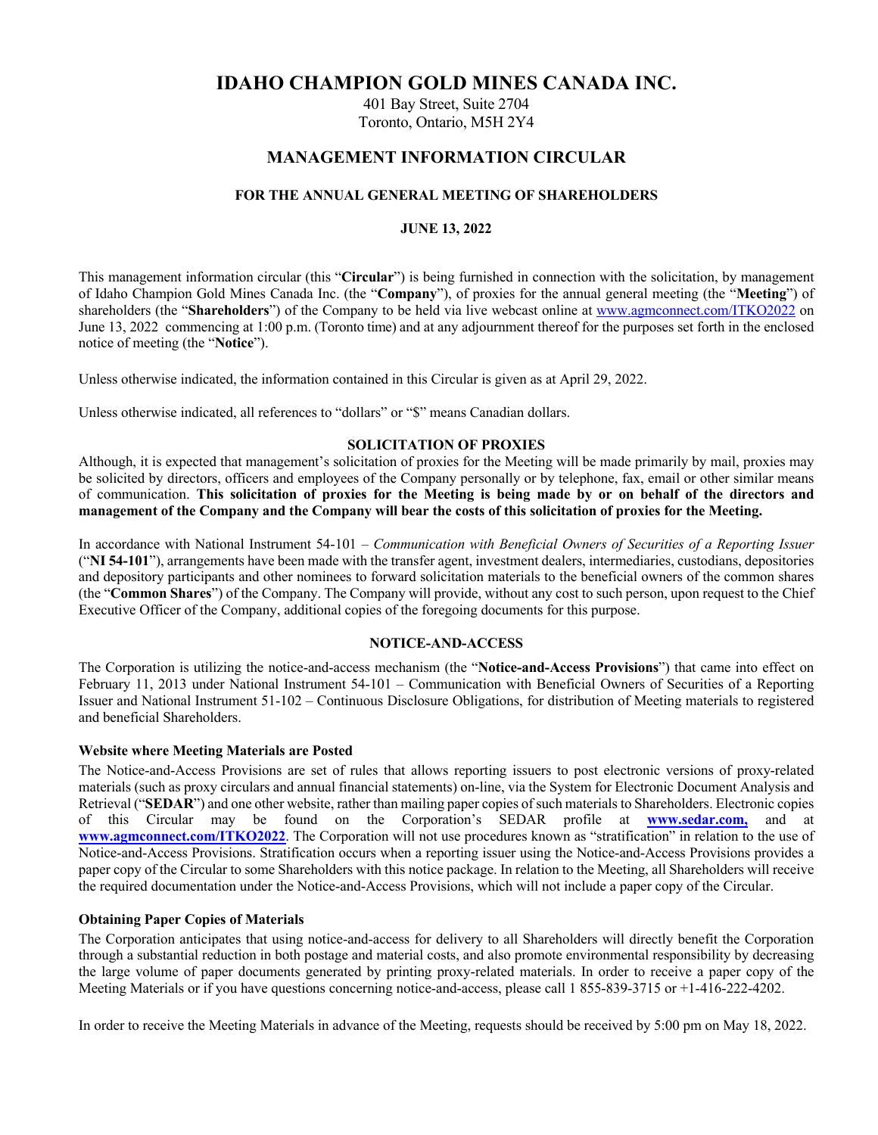# **IDAHO CHAMPION GOLD MINES CANADA INC.**

401 Bay Street, Suite 2704 Toronto, Ontario, M5H 2Y4

# **MANAGEMENT INFORMATION CIRCULAR**

## **FOR THE ANNUAL GENERAL MEETING OF SHAREHOLDERS**

## **JUNE 13, 2022**

This management information circular (this "**Circular**") is being furnished in connection with the solicitation, by management of Idaho Champion Gold Mines Canada Inc. (the "**Company**"), of proxies for the annual general meeting (the "**Meeting**") of shareholders (the "**Shareholders**") of the Company to be held via live webcast online at www.agmconnect.com/ITKO2022 on June 13, 2022 commencing at 1:00 p.m. (Toronto time) and at any adjournment thereof for the purposes set forth in the enclosed notice of meeting (the "**Notice**").

Unless otherwise indicated, the information contained in this Circular is given as at April 29, 2022.

Unless otherwise indicated, all references to "dollars" or "\$" means Canadian dollars.

## **SOLICITATION OF PROXIES**

Although, it is expected that management's solicitation of proxies for the Meeting will be made primarily by mail, proxies may be solicited by directors, officers and employees of the Company personally or by telephone, fax, email or other similar means of communication. **This solicitation of proxies for the Meeting is being made by or on behalf of the directors and management of the Company and the Company will bear the costs of this solicitation of proxies for the Meeting.**

In accordance with National Instrument 54-101 – *Communication with Beneficial Owners of Securities of a Reporting Issuer* ("**NI 54-101**"), arrangements have been made with the transfer agent, investment dealers, intermediaries, custodians, depositories and depository participants and other nominees to forward solicitation materials to the beneficial owners of the common shares (the "**Common Shares**") of the Company. The Company will provide, without any cost to such person, upon request to the Chief Executive Officer of the Company, additional copies of the foregoing documents for this purpose.

#### **NOTICE-AND-ACCESS**

The Corporation is utilizing the notice-and-access mechanism (the "**Notice-and-Access Provisions**") that came into effect on February 11, 2013 under National Instrument 54-101 – Communication with Beneficial Owners of Securities of a Reporting Issuer and National Instrument 51-102 – Continuous Disclosure Obligations, for distribution of Meeting materials to registered and beneficial Shareholders.

## **Website where Meeting Materials are Posted**

The Notice-and-Access Provisions are set of rules that allows reporting issuers to post electronic versions of proxy-related materials (such as proxy circulars and annual financial statements) on-line, via the System for Electronic Document Analysis and Retrieval ("**SEDAR**") and one other website, rather than mailing paper copies of such materials to Shareholders. Electronic copies of this Circular may be found on the Corporation's SEDAR profile at **www.sedar.com,** and at **www.agmconnect.com/ITKO2022**. The Corporation will not use procedures known as "stratification" in relation to the use of Notice-and-Access Provisions. Stratification occurs when a reporting issuer using the Notice-and-Access Provisions provides a paper copy of the Circular to some Shareholders with this notice package. In relation to the Meeting, all Shareholders will receive the required documentation under the Notice-and-Access Provisions, which will not include a paper copy of the Circular.

## **Obtaining Paper Copies of Materials**

The Corporation anticipates that using notice-and-access for delivery to all Shareholders will directly benefit the Corporation through a substantial reduction in both postage and material costs, and also promote environmental responsibility by decreasing the large volume of paper documents generated by printing proxy-related materials. In order to receive a paper copy of the Meeting Materials or if you have questions concerning notice-and-access, please call 1 855-839-3715 or +1-416-222-4202.

In order to receive the Meeting Materials in advance of the Meeting, requests should be received by 5:00 pm on May 18, 2022.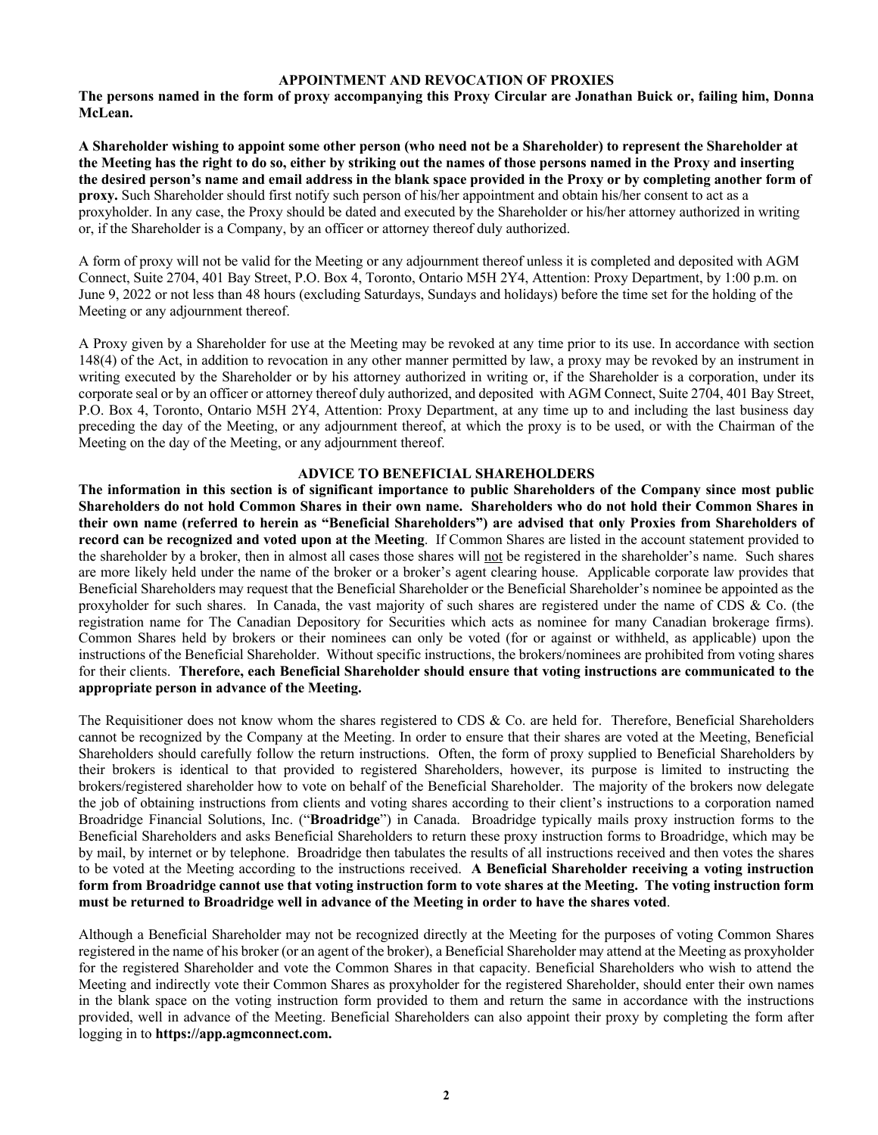#### **APPOINTMENT AND REVOCATION OF PROXIES**

**The persons named in the form of proxy accompanying this Proxy Circular are Jonathan Buick or, failing him, Donna McLean.**

**A Shareholder wishing to appoint some other person (who need not be a Shareholder) to represent the Shareholder at the Meeting has the right to do so, either by striking out the names of those persons named in the Proxy and inserting the desired person's name and email address in the blank space provided in the Proxy or by completing another form of proxy.** Such Shareholder should first notify such person of his/her appointment and obtain his/her consent to act as a proxyholder. In any case, the Proxy should be dated and executed by the Shareholder or his/her attorney authorized in writing or, if the Shareholder is a Company, by an officer or attorney thereof duly authorized.

A form of proxy will not be valid for the Meeting or any adjournment thereof unless it is completed and deposited with AGM Connect, Suite 2704, 401 Bay Street, P.O. Box 4, Toronto, Ontario M5H 2Y4, Attention: Proxy Department, by 1:00 p.m. on June 9, 2022 or not less than 48 hours (excluding Saturdays, Sundays and holidays) before the time set for the holding of the Meeting or any adjournment thereof.

A Proxy given by a Shareholder for use at the Meeting may be revoked at any time prior to its use. In accordance with section 148(4) of the Act, in addition to revocation in any other manner permitted by law, a proxy may be revoked by an instrument in writing executed by the Shareholder or by his attorney authorized in writing or, if the Shareholder is a corporation, under its corporate seal or by an officer or attorney thereof duly authorized, and deposited with AGM Connect, Suite 2704, 401 Bay Street, P.O. Box 4, Toronto, Ontario M5H 2Y4, Attention: Proxy Department, at any time up to and including the last business day preceding the day of the Meeting, or any adjournment thereof, at which the proxy is to be used, or with the Chairman of the Meeting on the day of the Meeting, or any adjournment thereof.

#### **ADVICE TO BENEFICIAL SHAREHOLDERS**

**The information in this section is of significant importance to public Shareholders of the Company since most public Shareholders do not hold Common Shares in their own name. Shareholders who do not hold their Common Shares in their own name (referred to herein as "Beneficial Shareholders") are advised that only Proxies from Shareholders of record can be recognized and voted upon at the Meeting**. If Common Shares are listed in the account statement provided to the shareholder by a broker, then in almost all cases those shares will not be registered in the shareholder's name. Such shares are more likely held under the name of the broker or a broker's agent clearing house. Applicable corporate law provides that Beneficial Shareholders may request that the Beneficial Shareholder or the Beneficial Shareholder's nominee be appointed as the proxyholder for such shares. In Canada, the vast majority of such shares are registered under the name of CDS & Co. (the registration name for The Canadian Depository for Securities which acts as nominee for many Canadian brokerage firms). Common Shares held by brokers or their nominees can only be voted (for or against or withheld, as applicable) upon the instructions of the Beneficial Shareholder. Without specific instructions, the brokers/nominees are prohibited from voting shares for their clients. **Therefore, each Beneficial Shareholder should ensure that voting instructions are communicated to the appropriate person in advance of the Meeting.**

The Requisitioner does not know whom the shares registered to CDS  $&$  Co. are held for. Therefore, Beneficial Shareholders cannot be recognized by the Company at the Meeting. In order to ensure that their shares are voted at the Meeting, Beneficial Shareholders should carefully follow the return instructions. Often, the form of proxy supplied to Beneficial Shareholders by their brokers is identical to that provided to registered Shareholders, however, its purpose is limited to instructing the brokers/registered shareholder how to vote on behalf of the Beneficial Shareholder. The majority of the brokers now delegate the job of obtaining instructions from clients and voting shares according to their client's instructions to a corporation named Broadridge Financial Solutions, Inc. ("**Broadridge**") in Canada. Broadridge typically mails proxy instruction forms to the Beneficial Shareholders and asks Beneficial Shareholders to return these proxy instruction forms to Broadridge, which may be by mail, by internet or by telephone. Broadridge then tabulates the results of all instructions received and then votes the shares to be voted at the Meeting according to the instructions received. **A Beneficial Shareholder receiving a voting instruction form from Broadridge cannot use that voting instruction form to vote shares at the Meeting. The voting instruction form must be returned to Broadridge well in advance of the Meeting in order to have the shares voted**.

Although a Beneficial Shareholder may not be recognized directly at the Meeting for the purposes of voting Common Shares registered in the name of his broker (or an agent of the broker), a Beneficial Shareholder may attend at the Meeting as proxyholder for the registered Shareholder and vote the Common Shares in that capacity. Beneficial Shareholders who wish to attend the Meeting and indirectly vote their Common Shares as proxyholder for the registered Shareholder, should enter their own names in the blank space on the voting instruction form provided to them and return the same in accordance with the instructions provided, well in advance of the Meeting. Beneficial Shareholders can also appoint their proxy by completing the form after logging in to **https://app.agmconnect.com.**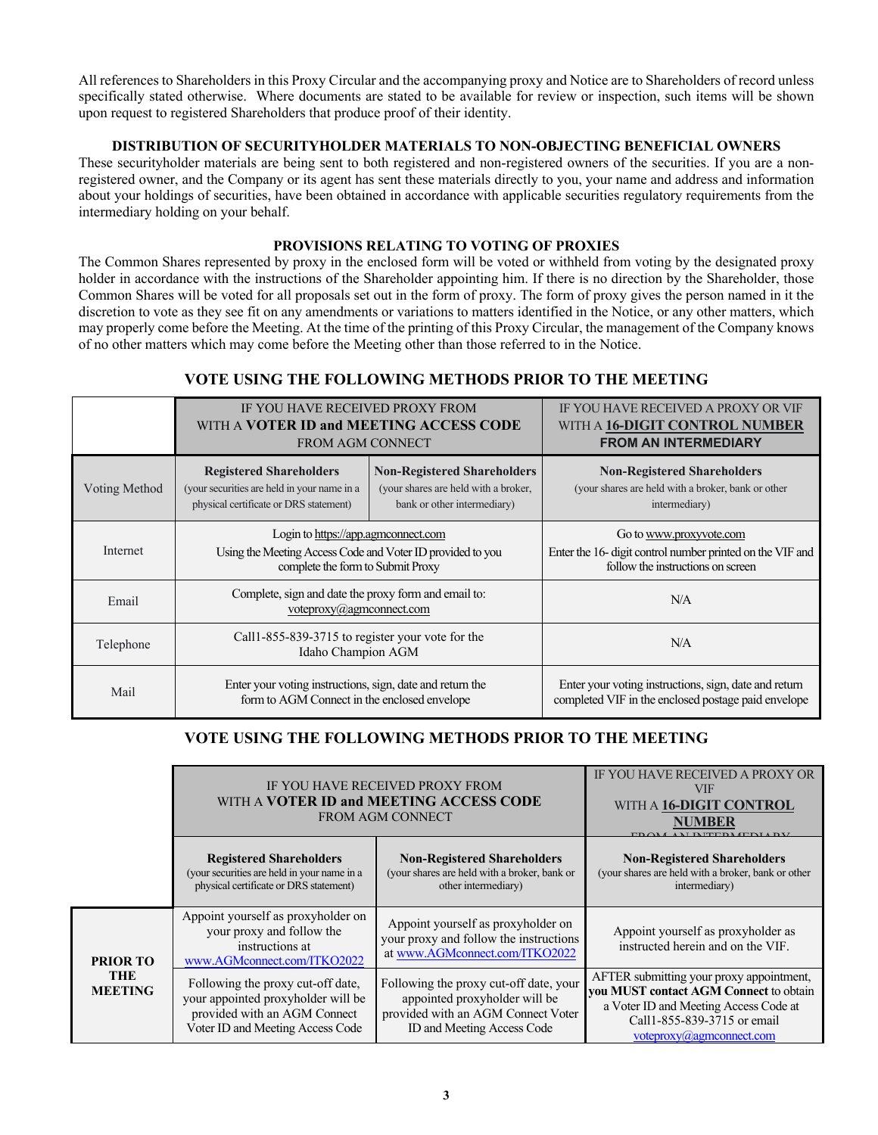All references to Shareholders in this Proxy Circular and the accompanying proxy and Notice are to Shareholders of record unless specifically stated otherwise. Where documents are stated to be available for review or inspection, such items will be shown upon request to registered Shareholders that produce proof of their identity.

## **DISTRIBUTION OF SECURITYHOLDER MATERIALS TO NON-OBJECTING BENEFICIAL OWNERS**

These securityholder materials are being sent to both registered and non-registered owners of the securities. If you are a nonregistered owner, and the Company or its agent has sent these materials directly to you, your name and address and information about your holdings of securities, have been obtained in accordance with applicable securities regulatory requirements from the intermediary holding on your behalf.

## **PROVISIONS RELATING TO VOTING OF PROXIES**

The Common Shares represented by proxy in the enclosed form will be voted or withheld from voting by the designated proxy holder in accordance with the instructions of the Shareholder appointing him. If there is no direction by the Shareholder, those Common Shares will be voted for all proposals set out in the form of proxy. The form of proxy gives the person named in it the discretion to vote as they see fit on any amendments or variations to matters identified in the Notice, or any other matters, which may properly come before the Meeting. At the time of the printing of this Proxy Circular, the management of the Company knows of no other matters which may come before the Meeting other than those referred to in the Notice.

# **VOTE USING THE FOLLOWING METHODS PRIOR TO THE MEETING**

|               | IF YOU HAVE RECEIVED PROXY FROM<br>WITH A <b>VOTER ID and MEETING ACCESS CODE</b><br><b>FROM AGM CONNECT</b>                           |                                                                                                           | IF YOU HAVE RECEIVED A PROXY OR VIF<br>WITH A 16-DIGIT CONTROL NUMBER<br><b>FROM AN INTERMEDIARY</b>                      |
|---------------|----------------------------------------------------------------------------------------------------------------------------------------|-----------------------------------------------------------------------------------------------------------|---------------------------------------------------------------------------------------------------------------------------|
| Voting Method | <b>Registered Shareholders</b><br>(your securities are held in your name in a<br>physical certificate or DRS statement)                | <b>Non-Registered Shareholders</b><br>(your shares are held with a broker,<br>bank or other intermediary) | <b>Non-Registered Shareholders</b><br>(your shares are held with a broker, bank or other<br>intermediary)                 |
| Internet      | Login to https://app.agmconnect.com<br>Using the Meeting Access Code and Voter ID provided to you<br>complete the form to Submit Proxy |                                                                                                           | Go to www.proxyvote.com<br>Enter the 16- digit control number printed on the VIF and<br>follow the instructions on screen |
| Email         | Complete, sign and date the proxy form and email to:<br>voteproxy@agmconnect.com                                                       |                                                                                                           | N/A                                                                                                                       |
| Telephone     | Call 1-855-839-3715 to register your vote for the<br>Idaho Champion AGM                                                                |                                                                                                           | N/A                                                                                                                       |
| Mail          | Enter your voting instructions, sign, date and return the<br>form to AGM Connect in the enclosed envelope                              |                                                                                                           | Enter your voting instructions, sign, date and return<br>completed VIF in the enclosed postage paid envelope              |

# **VOTE USING THE FOLLOWING METHODS PRIOR TO THE MEETING**

|                              |                                                                                                                                             | IF YOU HAVE RECEIVED PROXY FROM<br>WITH A <b>VOTER ID and MEETING ACCESS CODE</b><br><b>FROM AGM CONNECT</b>                                | IF YOU HAVE RECEIVED A PROXY OR<br><b>VIF</b><br>WITH A 16-DIGIT CONTROL<br>NUMBER<br><b>MEREDI EDILDI</b>                                                                                  |
|------------------------------|---------------------------------------------------------------------------------------------------------------------------------------------|---------------------------------------------------------------------------------------------------------------------------------------------|---------------------------------------------------------------------------------------------------------------------------------------------------------------------------------------------|
|                              | <b>Registered Shareholders</b><br>(your securities are held in your name in a<br>physical certificate or DRS statement)                     | <b>Non-Registered Shareholders</b><br>(your shares are held with a broker, bank or<br>other intermediary)                                   | <b>Non-Registered Shareholders</b><br>(your shares are held with a broker, bank or other<br>intermediary)                                                                                   |
| <b>PRIOR TO</b>              | Appoint yourself as proxyholder on<br>your proxy and follow the<br>instructions at<br>www.AGMconnect.com/ITKO2022                           | Appoint yourself as proxyholder on<br>your proxy and follow the instructions<br>at www.AGMconnect.com/ITKO2022                              | Appoint yourself as proxyholder as<br>instructed herein and on the VIF.                                                                                                                     |
| <b>THE</b><br><b>MEETING</b> | Following the proxy cut-off date,<br>your appointed proxyholder will be<br>provided with an AGM Connect<br>Voter ID and Meeting Access Code | Following the proxy cut-off date, your<br>appointed proxyholder will be<br>provided with an AGM Connect Voter<br>ID and Meeting Access Code | AFTER submitting your proxy appointment,<br>you MUST contact AGM Connect to obtain<br>a Voter ID and Meeting Access Code at<br>Call1-855-839-3715 or email<br>$voteproxy(a)$ agmconnect.com |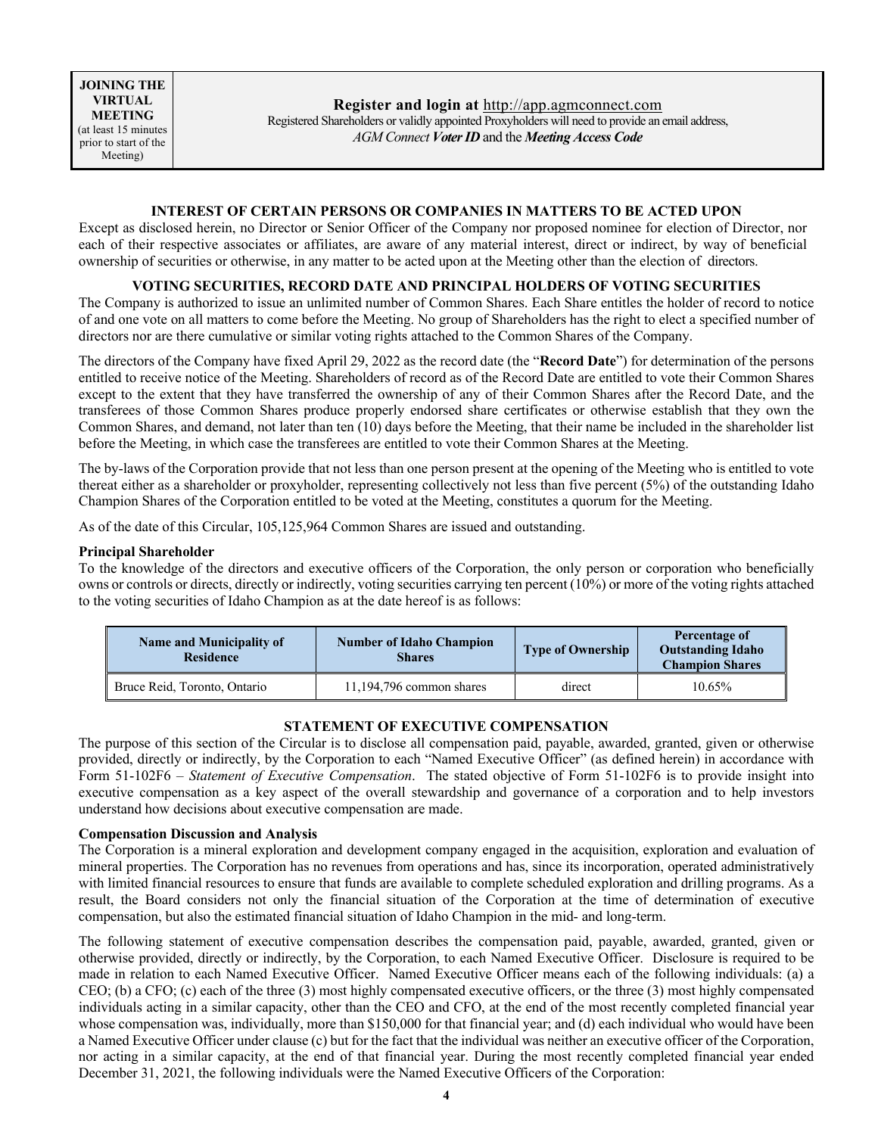## **INTEREST OF CERTAIN PERSONS OR COMPANIES IN MATTERS TO BE ACTED UPON**

Except as disclosed herein, no Director or Senior Officer of the Company nor proposed nominee for election of Director, nor each of their respective associates or affiliates, are aware of any material interest, direct or indirect, by way of beneficial ownership of securities or otherwise, in any matter to be acted upon at the Meeting other than the election of directors.

## **VOTING SECURITIES, RECORD DATE AND PRINCIPAL HOLDERS OF VOTING SECURITIES**

The Company is authorized to issue an unlimited number of Common Shares. Each Share entitles the holder of record to notice of and one vote on all matters to come before the Meeting. No group of Shareholders has the right to elect a specified number of directors nor are there cumulative or similar voting rights attached to the Common Shares of the Company.

The directors of the Company have fixed April 29, 2022 as the record date (the "**Record Date**") for determination of the persons entitled to receive notice of the Meeting. Shareholders of record as of the Record Date are entitled to vote their Common Shares except to the extent that they have transferred the ownership of any of their Common Shares after the Record Date, and the transferees of those Common Shares produce properly endorsed share certificates or otherwise establish that they own the Common Shares, and demand, not later than ten (10) days before the Meeting, that their name be included in the shareholder list before the Meeting, in which case the transferees are entitled to vote their Common Shares at the Meeting.

The by-laws of the Corporation provide that not less than one person present at the opening of the Meeting who is entitled to vote thereat either as a shareholder or proxyholder, representing collectively not less than five percent (5%) of the outstanding Idaho Champion Shares of the Corporation entitled to be voted at the Meeting, constitutes a quorum for the Meeting.

As of the date of this Circular, 105,125,964 Common Shares are issued and outstanding.

#### **Principal Shareholder**

To the knowledge of the directors and executive officers of the Corporation, the only person or corporation who beneficially owns or controls or directs, directly or indirectly, voting securities carrying ten percent (10%) or more of the voting rights attached to the voting securities of Idaho Champion as at the date hereof is as follows:

| <b>Name and Municipality of</b><br><b>Residence</b> | <b>Number of Idaho Champion</b><br>Shares | <b>Type of Ownership</b> | Percentage of<br><b>Outstanding Idaho</b><br><b>Champion Shares</b> |
|-----------------------------------------------------|-------------------------------------------|--------------------------|---------------------------------------------------------------------|
| Bruce Reid, Toronto, Ontario                        | $11,194,796$ common shares                | direct                   | $10.65\%$                                                           |

## **STATEMENT OF EXECUTIVE COMPENSATION**

The purpose of this section of the Circular is to disclose all compensation paid, payable, awarded, granted, given or otherwise provided, directly or indirectly, by the Corporation to each "Named Executive Officer" (as defined herein) in accordance with Form 51-102F6 – *Statement of Executive Compensation*. The stated objective of Form 51-102F6 is to provide insight into executive compensation as a key aspect of the overall stewardship and governance of a corporation and to help investors understand how decisions about executive compensation are made.

#### **Compensation Discussion and Analysis**

The Corporation is a mineral exploration and development company engaged in the acquisition, exploration and evaluation of mineral properties. The Corporation has no revenues from operations and has, since its incorporation, operated administratively with limited financial resources to ensure that funds are available to complete scheduled exploration and drilling programs. As a result, the Board considers not only the financial situation of the Corporation at the time of determination of executive compensation, but also the estimated financial situation of Idaho Champion in the mid- and long-term.

The following statement of executive compensation describes the compensation paid, payable, awarded, granted, given or otherwise provided, directly or indirectly, by the Corporation, to each Named Executive Officer. Disclosure is required to be made in relation to each Named Executive Officer. Named Executive Officer means each of the following individuals: (a) a CEO; (b) a CFO; (c) each of the three (3) most highly compensated executive officers, or the three (3) most highly compensated individuals acting in a similar capacity, other than the CEO and CFO, at the end of the most recently completed financial year whose compensation was, individually, more than \$150,000 for that financial year; and (d) each individual who would have been a Named Executive Officer under clause (c) but for the fact that the individual was neither an executive officer of the Corporation, nor acting in a similar capacity, at the end of that financial year. During the most recently completed financial year ended December 31, 2021, the following individuals were the Named Executive Officers of the Corporation: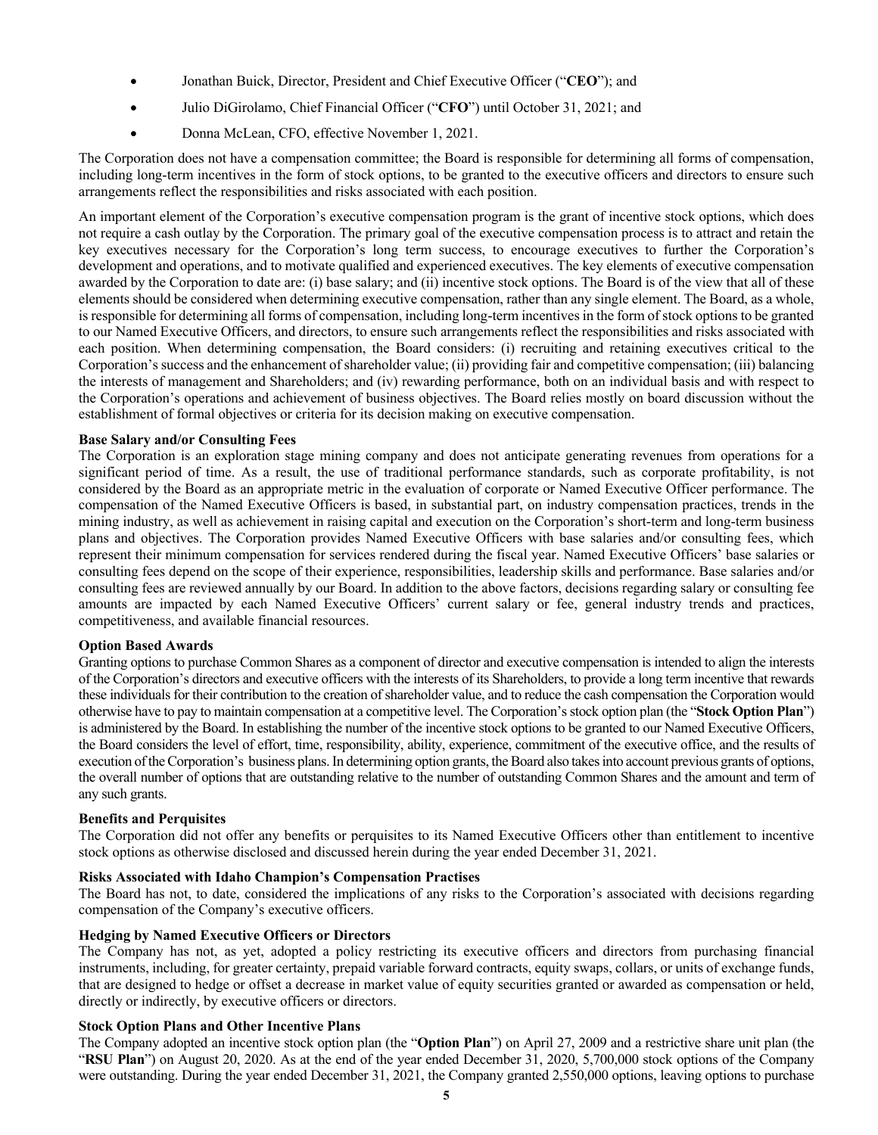- Jonathan Buick, Director, President and Chief Executive Officer ("**CEO**"); and
- Julio DiGirolamo, Chief Financial Officer ("**CFO**") until October 31, 2021; and
- Donna McLean, CFO, effective November 1, 2021.

The Corporation does not have a compensation committee; the Board is responsible for determining all forms of compensation, including long-term incentives in the form of stock options, to be granted to the executive officers and directors to ensure such arrangements reflect the responsibilities and risks associated with each position.

An important element of the Corporation's executive compensation program is the grant of incentive stock options, which does not require a cash outlay by the Corporation. The primary goal of the executive compensation process is to attract and retain the key executives necessary for the Corporation's long term success, to encourage executives to further the Corporation's development and operations, and to motivate qualified and experienced executives. The key elements of executive compensation awarded by the Corporation to date are: (i) base salary; and (ii) incentive stock options. The Board is of the view that all of these elements should be considered when determining executive compensation, rather than any single element. The Board, as a whole, is responsible for determining all forms of compensation, including long-term incentives in the form of stock options to be granted to our Named Executive Officers, and directors, to ensure such arrangements reflect the responsibilities and risks associated with each position. When determining compensation, the Board considers: (i) recruiting and retaining executives critical to the Corporation's success and the enhancement of shareholder value; (ii) providing fair and competitive compensation; (iii) balancing the interests of management and Shareholders; and (iv) rewarding performance, both on an individual basis and with respect to the Corporation's operations and achievement of business objectives. The Board relies mostly on board discussion without the establishment of formal objectives or criteria for its decision making on executive compensation.

#### **Base Salary and/or Consulting Fees**

The Corporation is an exploration stage mining company and does not anticipate generating revenues from operations for a significant period of time. As a result, the use of traditional performance standards, such as corporate profitability, is not considered by the Board as an appropriate metric in the evaluation of corporate or Named Executive Officer performance. The compensation of the Named Executive Officers is based, in substantial part, on industry compensation practices, trends in the mining industry, as well as achievement in raising capital and execution on the Corporation's short-term and long-term business plans and objectives. The Corporation provides Named Executive Officers with base salaries and/or consulting fees, which represent their minimum compensation for services rendered during the fiscal year. Named Executive Officers' base salaries or consulting fees depend on the scope of their experience, responsibilities, leadership skills and performance. Base salaries and/or consulting fees are reviewed annually by our Board. In addition to the above factors, decisions regarding salary or consulting fee amounts are impacted by each Named Executive Officers' current salary or fee, general industry trends and practices, competitiveness, and available financial resources.

## **Option Based Awards**

Granting options to purchase Common Shares as a component of director and executive compensation is intended to align the interests of the Corporation's directors and executive officers with the interests of its Shareholders, to provide a long term incentive that rewards these individuals for their contribution to the creation of shareholder value, and to reduce the cash compensation the Corporation would otherwise have to pay to maintain compensation at a competitive level. The Corporation's stock option plan (the "**Stock Option Plan**") is administered by the Board. In establishing the number of the incentive stock options to be granted to our Named Executive Officers, the Board considers the level of effort, time, responsibility, ability, experience, commitment of the executive office, and the results of execution of the Corporation's business plans. In determining option grants, the Board also takes into account previous grants of options, the overall number of options that are outstanding relative to the number of outstanding Common Shares and the amount and term of any such grants.

## **Benefits and Perquisites**

The Corporation did not offer any benefits or perquisites to its Named Executive Officers other than entitlement to incentive stock options as otherwise disclosed and discussed herein during the year ended December 31, 2021.

## **Risks Associated with Idaho Champion's Compensation Practises**

The Board has not, to date, considered the implications of any risks to the Corporation's associated with decisions regarding compensation of the Company's executive officers.

#### **Hedging by Named Executive Officers or Directors**

The Company has not, as yet, adopted a policy restricting its executive officers and directors from purchasing financial instruments, including, for greater certainty, prepaid variable forward contracts, equity swaps, collars, or units of exchange funds, that are designed to hedge or offset a decrease in market value of equity securities granted or awarded as compensation or held, directly or indirectly, by executive officers or directors.

#### **Stock Option Plans and Other Incentive Plans**

The Company adopted an incentive stock option plan (the "**Option Plan**") on April 27, 2009 and a restrictive share unit plan (the "**RSU Plan**") on August 20, 2020. As at the end of the year ended December 31, 2020, 5,700,000 stock options of the Company were outstanding. During the year ended December 31, 2021, the Company granted 2,550,000 options, leaving options to purchase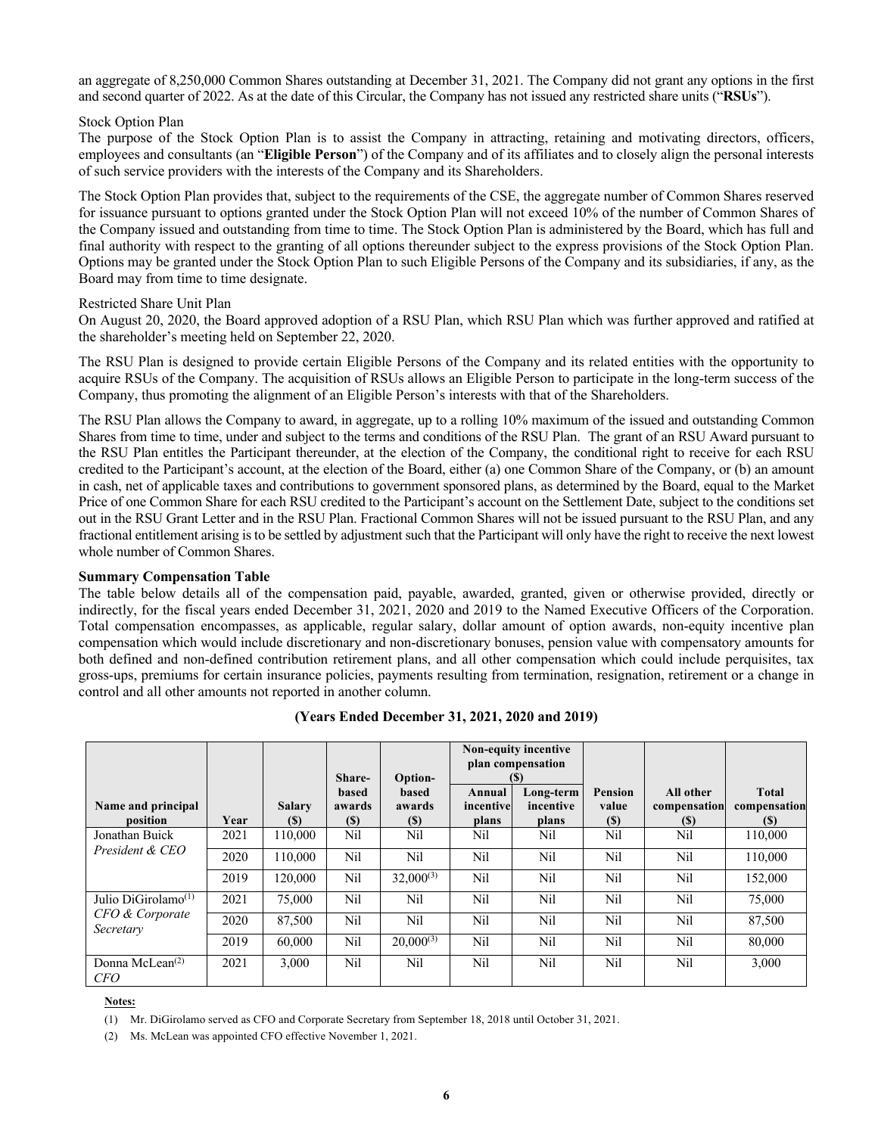an aggregate of 8,250,000 Common Shares outstanding at December 31, 2021. The Company did not grant any options in the first and second quarter of 2022. As at the date of this Circular, the Company has not issued any restricted share units ("**RSUs**").

## Stock Option Plan

The purpose of the Stock Option Plan is to assist the Company in attracting, retaining and motivating directors, officers, employees and consultants (an "**Eligible Person**") of the Company and of its affiliates and to closely align the personal interests of such service providers with the interests of the Company and its Shareholders.

The Stock Option Plan provides that, subject to the requirements of the CSE, the aggregate number of Common Shares reserved for issuance pursuant to options granted under the Stock Option Plan will not exceed 10% of the number of Common Shares of the Company issued and outstanding from time to time. The Stock Option Plan is administered by the Board, which has full and final authority with respect to the granting of all options thereunder subject to the express provisions of the Stock Option Plan. Options may be granted under the Stock Option Plan to such Eligible Persons of the Company and its subsidiaries, if any, as the Board may from time to time designate.

#### Restricted Share Unit Plan

On August 20, 2020, the Board approved adoption of a RSU Plan, which RSU Plan which was further approved and ratified at the shareholder's meeting held on September 22, 2020.

The RSU Plan is designed to provide certain Eligible Persons of the Company and its related entities with the opportunity to acquire RSUs of the Company. The acquisition of RSUs allows an Eligible Person to participate in the long-term success of the Company, thus promoting the alignment of an Eligible Person's interests with that of the Shareholders.

The RSU Plan allows the Company to award, in aggregate, up to a rolling 10% maximum of the issued and outstanding Common Shares from time to time, under and subject to the terms and conditions of the RSU Plan. The grant of an RSU Award pursuant to the RSU Plan entitles the Participant thereunder, at the election of the Company, the conditional right to receive for each RSU credited to the Participant's account, at the election of the Board, either (a) one Common Share of the Company, or (b) an amount in cash, net of applicable taxes and contributions to government sponsored plans, as determined by the Board, equal to the Market Price of one Common Share for each RSU credited to the Participant's account on the Settlement Date, subject to the conditions set out in the RSU Grant Letter and in the RSU Plan. Fractional Common Shares will not be issued pursuant to the RSU Plan, and any fractional entitlement arising is to be settled by adjustment such that the Participant will only have the right to receive the next lowest whole number of Common Shares.

## **Summary Compensation Table**

The table below details all of the compensation paid, payable, awarded, granted, given or otherwise provided, directly or indirectly, for the fiscal years ended December 31, 2021, 2020 and 2019 to the Named Executive Officers of the Corporation. Total compensation encompasses, as applicable, regular salary, dollar amount of option awards, non-equity incentive plan compensation which would include discretionary and non-discretionary bonuses, pension value with compensatory amounts for both defined and non-defined contribution retirement plans, and all other compensation which could include perquisites, tax gross-ups, premiums for certain insurance policies, payments resulting from termination, resignation, retirement or a change in control and all other amounts not reported in another column.

|                                     |      |                             | Share-                                        | Option-                              |                              | Non-equity incentive<br>plan compensation<br>(S) |                                       |                                  |                                            |
|-------------------------------------|------|-----------------------------|-----------------------------------------------|--------------------------------------|------------------------------|--------------------------------------------------|---------------------------------------|----------------------------------|--------------------------------------------|
| Name and principal<br>position      | Year | <b>Salary</b><br><b>(S)</b> | based<br>awards<br>$\left( \mathbb{S}\right)$ | <b>based</b><br>awards<br><b>(S)</b> | Annual<br>incentive<br>plans | Long-term<br>incentive<br>plans                  | <b>Pension</b><br>value<br><b>(S)</b> | All other<br>compensation<br>(S) | <b>Total</b><br>compensation<br><b>(S)</b> |
| Jonathan Buick                      | 2021 | 110,000                     | Nil                                           | Nil                                  | Nil                          | Nil                                              | Nil                                   | Nil                              | 110,000                                    |
| President & CEO                     | 2020 | 110,000                     | Nil                                           | Nil                                  | Nil                          | Nil                                              | Nil                                   | Nil                              | 110,000                                    |
|                                     | 2019 | 120,000                     | Nil                                           | $32,000^{(3)}$                       | Nil                          | Nil                                              | Nil                                   | Nil                              | 152,000                                    |
| Julio DiGirolamo <sup>(1)</sup>     | 2021 | 75,000                      | Nil                                           | Nil                                  | Nil                          | Nil                                              | Nil                                   | Nil                              | 75,000                                     |
| CFO & Corporate<br>Secretary        | 2020 | 87,500                      | Nil                                           | Nil                                  | Nil                          | Nil                                              | Nil                                   | Nil                              | 87,500                                     |
|                                     | 2019 | 60,000                      | N <sub>il</sub>                               | $20,000^{(3)}$                       | Nil                          | Nil                                              | Nil                                   | Nil                              | 80,000                                     |
| Donna McLean $^{(2)}$<br><b>CFO</b> | 2021 | 3.000                       | Nil                                           | Nil                                  | Nil                          | Nil                                              | Nil                                   | Nil                              | 3,000                                      |

**(Years Ended December 31, 2021, 2020 and 2019)**

#### **Notes:**

(1) Mr. DiGirolamo served as CFO and Corporate Secretary from September 18, 2018 until October 31, 2021.

(2) Ms. McLean was appointed CFO effective November 1, 2021.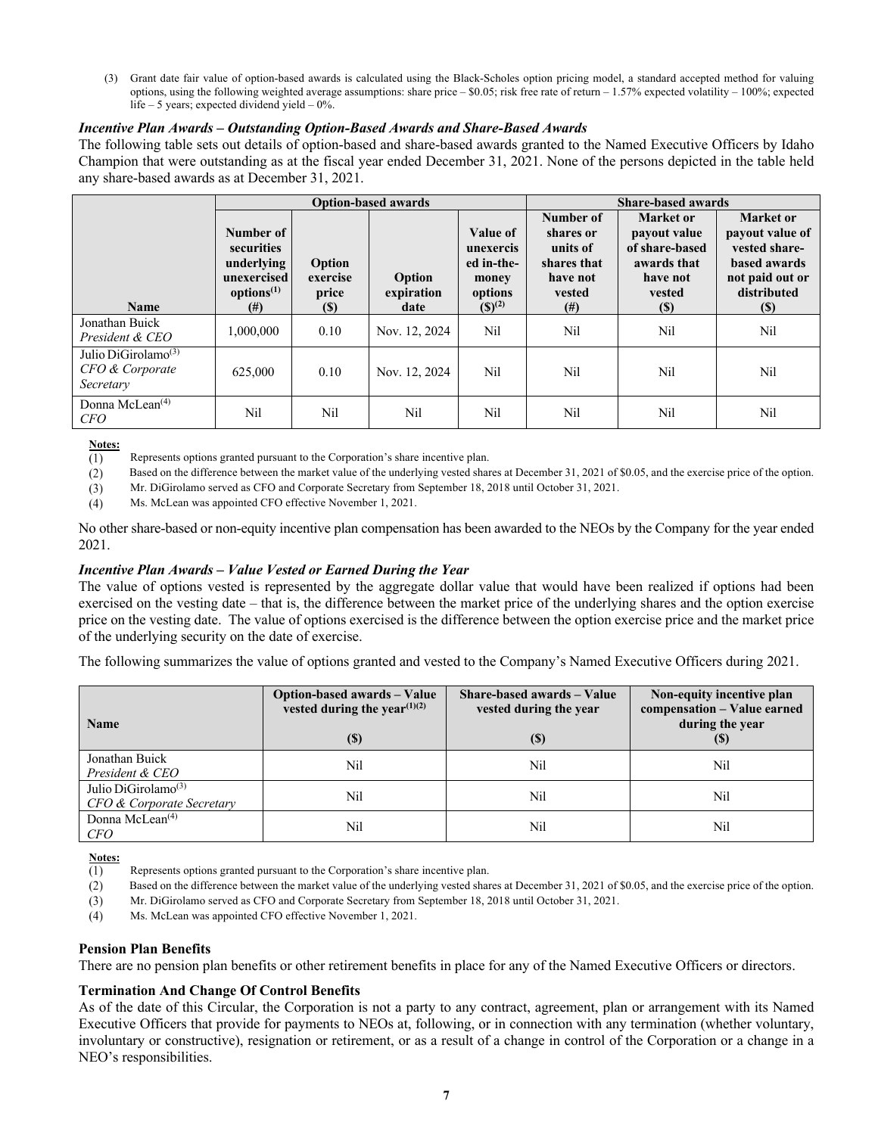(3) Grant date fair value of option-based awards is calculated using the Black-Scholes option pricing model, a standard accepted method for valuing options, using the following weighted average assumptions: share price  $-$  \$0.05; risk free rate of return  $-$  1.57% expected volatility  $-$  100%; expected life – 5 years; expected dividend yield – 0%.

## *Incentive Plan Awards – Outstanding Option-Based Awards and Share-Based Awards*

The following table sets out details of option-based and share-based awards granted to the Named Executive Officers by Idaho Champion that were outstanding as at the fiscal year ended December 31, 2021. None of the persons depicted in the table held any share-based awards as at December 31, 2021.

|                                                                 |                                                                                            |                                           | <b>Option-based awards</b>   | <b>Share-based awards</b>                                              |                                                                                     |                                                                                         |                                                                                                        |
|-----------------------------------------------------------------|--------------------------------------------------------------------------------------------|-------------------------------------------|------------------------------|------------------------------------------------------------------------|-------------------------------------------------------------------------------------|-----------------------------------------------------------------------------------------|--------------------------------------------------------------------------------------------------------|
| <b>Name</b>                                                     | Number of<br>securities<br>underlying<br>unexercised<br>options <sup>(1)</sup><br>$^{(#)}$ | Option<br>exercise<br>price<br><b>(S)</b> | Option<br>expiration<br>date | Value of<br>unexercis<br>ed in-the-<br>money<br>options<br>$(S)^{(2)}$ | Number of<br>shares or<br>units of<br>shares that<br>have not<br>vested<br>$^{(#)}$ | Market or<br>payout value<br>of share-based<br>awards that<br>have not<br>vested<br>(S) | Market or<br>payout value of<br>vested share-<br>based awards<br>not paid out or<br>distributed<br>(S) |
| Jonathan Buick<br>President & CEO                               | 1,000,000                                                                                  | 0.10                                      | Nov. 12, 2024                | Nil                                                                    | Nil                                                                                 | Nil                                                                                     | Nil                                                                                                    |
| Julio DiGirolamo <sup>(3)</sup><br>CFO & Corporate<br>Secretary | 625,000                                                                                    | 0.10                                      | Nov. 12, 2024                | Nil                                                                    | Nil                                                                                 | Nil                                                                                     | Nil                                                                                                    |
| Donna McLean $(4)$<br>CFO                                       | Nil                                                                                        | Nil                                       | Nil                          | Nil                                                                    | Nil                                                                                 | Nil                                                                                     | Nil                                                                                                    |

**Notes:**

Represents options granted pursuant to the Corporation's share incentive plan.  $(1)$ 

 $(2)$ Based on the difference between the market value of the underlying vested shares at December 31, 2021 of \$0.05, and the exercise price of the option.

Mr. DiGirolamo served as CFO and Corporate Secretary from September 18, 2018 until October 31, 2021.  $(3)$ 

 $(4)$ Ms. McLean was appointed CFO effective November 1, 2021.

No other share-based or non-equity incentive plan compensation has been awarded to the NEOs by the Company for the year ended 2021.

## *Incentive Plan Awards – Value Vested or Earned During the Year*

The value of options vested is represented by the aggregate dollar value that would have been realized if options had been exercised on the vesting date – that is, the difference between the market price of the underlying shares and the option exercise price on the vesting date. The value of options exercised is the difference between the option exercise price and the market price of the underlying security on the date of exercise.

The following summarizes the value of options granted and vested to the Company's Named Executive Officers during 2021.

| <b>Name</b>                                                  | Option-based awards - Value<br>vested during the year <sup><math>(1)(2)</math></sup><br>(\$) | Share-based awards – Value<br>vested during the year<br>$\left( \mathbb{S}\right)$ | Non-equity incentive plan<br>compensation - Value earned<br>during the year<br>(S) |
|--------------------------------------------------------------|----------------------------------------------------------------------------------------------|------------------------------------------------------------------------------------|------------------------------------------------------------------------------------|
| Jonathan Buick<br>President & CEO                            | Nil                                                                                          | Nil                                                                                | Nil                                                                                |
| Julio DiGirolamo <sup>(3)</sup><br>CFO & Corporate Secretary | Nil                                                                                          | Nil                                                                                | Nil                                                                                |
| Donna McLean <sup>(4)</sup><br><i>CFO</i>                    | Nil                                                                                          | Nil                                                                                | Nil                                                                                |

**Notes:**

 $(1)$ Represents options granted pursuant to the Corporation's share incentive plan.

- Based on the difference between the market value of the underlying vested shares at December 31, 2021 of \$0.05, and the exercise price of the option.  $(2)$
- $(3)$ Mr. DiGirolamo served as CFO and Corporate Secretary from September 18, 2018 until October 31, 2021.
- $(4)$ Ms. McLean was appointed CFO effective November 1, 2021.

## **Pension Plan Benefits**

There are no pension plan benefits or other retirement benefits in place for any of the Named Executive Officers or directors.

#### **Termination And Change Of Control Benefits**

As of the date of this Circular, the Corporation is not a party to any contract, agreement, plan or arrangement with its Named Executive Officers that provide for payments to NEOs at, following, or in connection with any termination (whether voluntary, involuntary or constructive), resignation or retirement, or as a result of a change in control of the Corporation or a change in a NEO's responsibilities.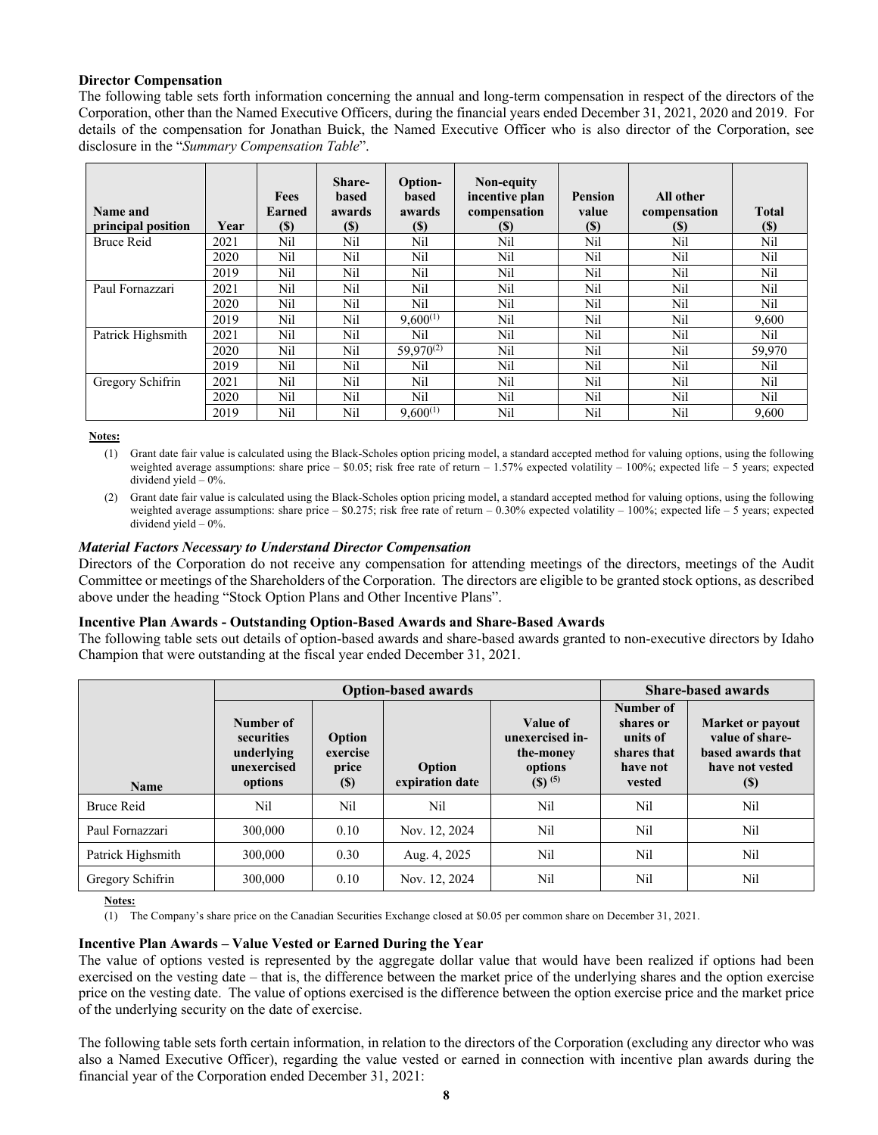## **Director Compensation**

The following table sets forth information concerning the annual and long-term compensation in respect of the directors of the Corporation, other than the Named Executive Officers, during the financial years ended December 31, 2021, 2020 and 2019. For details of the compensation for Jonathan Buick, the Named Executive Officer who is also director of the Corporation, see disclosure in the "*Summary Compensation Table*".

| Name and<br>principal position | Year | Fees<br>Earned<br>(\$) | Share-<br>based<br>awards<br><b>(\$)</b> | Option-<br>based<br>awards<br><b>(\$)</b> | Non-equity<br>incentive plan<br>compensation<br>(S) | <b>Pension</b><br>value<br><b>(\$)</b> | All other<br>compensation<br>(S) | <b>Total</b><br><b>(\$)</b> |
|--------------------------------|------|------------------------|------------------------------------------|-------------------------------------------|-----------------------------------------------------|----------------------------------------|----------------------------------|-----------------------------|
| <b>Bruce Reid</b>              | 2021 | Nil                    | Nil                                      | Nil                                       | Nil                                                 | Nil                                    | Nil                              | Nil                         |
|                                | 2020 | Nil                    | Nil                                      | Nil                                       | Nil                                                 | Nil                                    | Nil                              | Nil                         |
|                                | 2019 | Nil                    | Nil                                      | Nil.                                      | Nil                                                 | Nil                                    | Nil                              | Nil.                        |
| Paul Fornazzari                | 2021 | Nil                    | Nil                                      | Nil                                       | Nil                                                 | Nil                                    | Nil                              | Nil                         |
|                                | 2020 | Nil                    | Nil                                      | Nil                                       | Nil                                                 | Nil                                    | Nil                              | Nil                         |
|                                | 2019 | Nil                    | Nil                                      | $9,600^{(1)}$                             | Nil                                                 | Nil                                    | Nil                              | 9.600                       |
| Patrick Highsmith              | 2021 | Nil                    | Nil                                      | Nil                                       | Nil                                                 | Nil                                    | Nil                              | Nil                         |
|                                | 2020 | Nil                    | Nil                                      | $59,970^{(2)}$                            | Nil                                                 | Nil                                    | Nil                              | 59,970                      |
|                                | 2019 | Nil                    | Nil                                      | Nil                                       | Nil                                                 | Nil                                    | Nil                              | Nil                         |
| Gregory Schifrin               | 2021 | Nil                    | Nil                                      | Nil                                       | Nil                                                 | Nil                                    | Nil                              | Nil                         |
|                                | 2020 | Nil                    | Nil                                      | Nil.                                      | Nil                                                 | Nil                                    | Nil                              | Nil.                        |
|                                | 2019 | Nil                    | Nil                                      | $9,600^{(1)}$                             | Nil                                                 | Nil                                    | Nil                              | 9.600                       |

**Notes:**

(1) Grant date fair value is calculated using the Black-Scholes option pricing model, a standard accepted method for valuing options, using the following weighted average assumptions: share price – \$0.05; risk free rate of return – 1.57% expected volatility – 100%; expected life – 5 years; expected dividend vield  $-0\%$ .

(2) Grant date fair value is calculated using the Black-Scholes option pricing model, a standard accepted method for valuing options, using the following weighted average assumptions: share price  $-$  \$0.275; risk free rate of return  $-$  0.30% expected volatility  $-$  100%; expected life  $-$  5 years; expected dividend vield  $-0\%$ .

#### *Material Factors Necessary to Understand Director Compensation*

Directors of the Corporation do not receive any compensation for attending meetings of the directors, meetings of the Audit Committee or meetings of the Shareholders of the Corporation. The directors are eligible to be granted stock options, as described above under the heading "Stock Option Plans and Other Incentive Plans".

## **Incentive Plan Awards - Outstanding Option-Based Awards and Share-Based Awards**

The following table sets out details of option-based awards and share-based awards granted to non-executive directors by Idaho Champion that were outstanding at the fiscal year ended December 31, 2021.

|                   |                                                                 | <b>Option-based awards</b>                                | <b>Share-based awards</b> |                                                                             |                                                                         |                                                                                                                  |
|-------------------|-----------------------------------------------------------------|-----------------------------------------------------------|---------------------------|-----------------------------------------------------------------------------|-------------------------------------------------------------------------|------------------------------------------------------------------------------------------------------------------|
| <b>Name</b>       | Number of<br>securities<br>underlying<br>unexercised<br>options | Option<br>exercise<br>price<br>$\left( \mathbb{S}\right)$ | Option<br>expiration date | Value of<br>unexercised in-<br>the-money<br>options<br>$(S)$ <sup>(5)</sup> | Number of<br>shares or<br>units of<br>shares that<br>have not<br>vested | <b>Market or payout</b><br>value of share-<br>based awards that<br>have not vested<br>$\left( \mathbb{S}\right)$ |
| <b>Bruce Reid</b> | Nil                                                             | Nil                                                       | Nil                       | Nil                                                                         | Nil                                                                     | Nil                                                                                                              |
| Paul Fornazzari   | 300,000                                                         | 0.10                                                      | Nov. 12, 2024             | Nil                                                                         | Nil                                                                     | Nil                                                                                                              |
| Patrick Highsmith | 300,000                                                         | 0.30                                                      | Aug. 4, 2025              | Nil                                                                         | Nil                                                                     | Nil                                                                                                              |
| Gregory Schifrin  | 300,000                                                         | 0.10                                                      | Nov. 12, 2024             | Nil                                                                         | Nil                                                                     | Nil                                                                                                              |

**Notes:**

(1) The Company's share price on the Canadian Securities Exchange closed at \$0.05 per common share on December 31, 2021.

#### **Incentive Plan Awards – Value Vested or Earned During the Year**

The value of options vested is represented by the aggregate dollar value that would have been realized if options had been exercised on the vesting date – that is, the difference between the market price of the underlying shares and the option exercise price on the vesting date. The value of options exercised is the difference between the option exercise price and the market price of the underlying security on the date of exercise.

The following table sets forth certain information, in relation to the directors of the Corporation (excluding any director who was also a Named Executive Officer), regarding the value vested or earned in connection with incentive plan awards during the financial year of the Corporation ended December 31, 2021: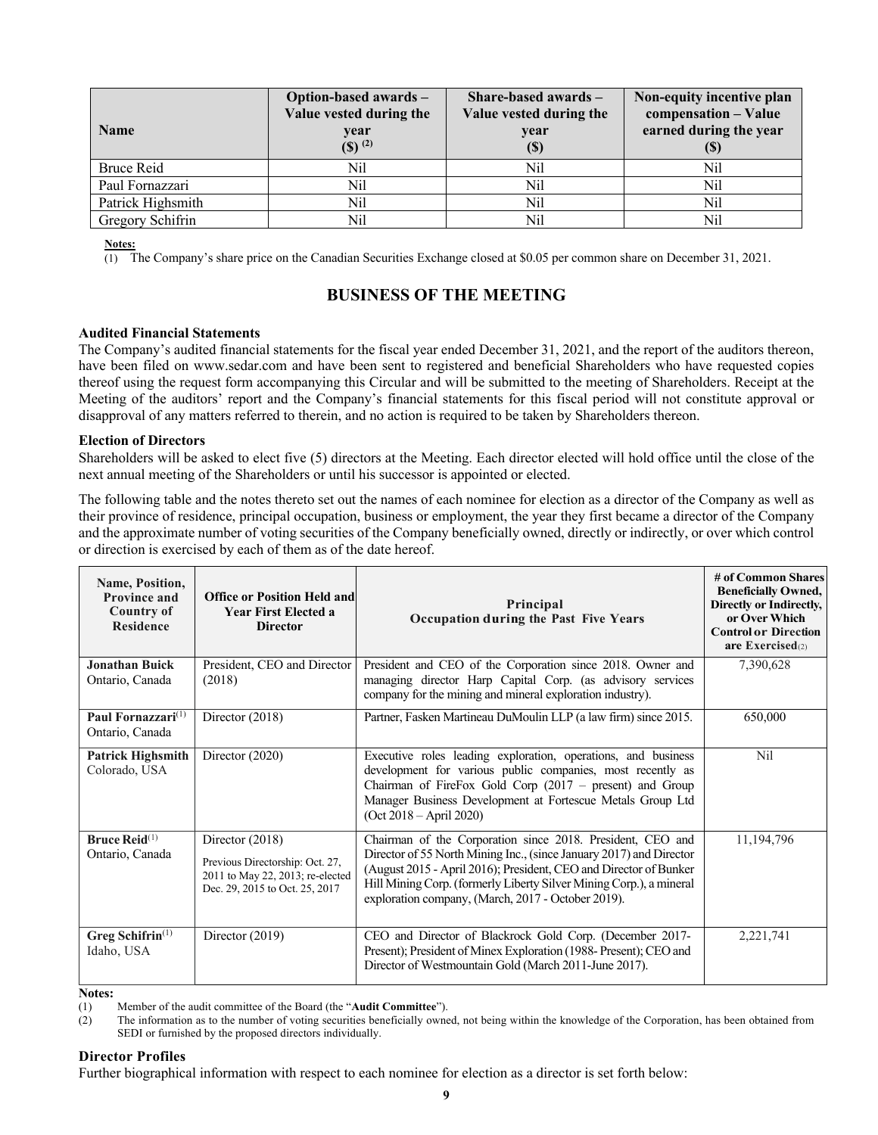| <b>Name</b>       | Option-based awards -<br>Value vested during the<br>year<br>$($ \$) $^{(2)}$ | Share-based awards $-$<br>Value vested during the<br>year<br>(S) | Non-equity incentive plan<br>compensation - Value<br>earned during the year |
|-------------------|------------------------------------------------------------------------------|------------------------------------------------------------------|-----------------------------------------------------------------------------|
| Bruce Reid        | Nil                                                                          | Nil                                                              | Nil                                                                         |
| Paul Fornazzari   | Nil                                                                          | Nil                                                              | Nil                                                                         |
| Patrick Highsmith | Nil                                                                          | Nil                                                              | Nil                                                                         |
| Gregory Schifrin  | Nil                                                                          | Nil                                                              | Nil                                                                         |

**Notes:**

(1) The Company's share price on the Canadian Securities Exchange closed at \$0.05 per common share on December 31, 2021.

# **BUSINESS OF THE MEETING**

#### **Audited Financial Statements**

The Company's audited financial statements for the fiscal year ended December 31, 2021, and the report of the auditors thereon, have been filed on www.sedar.com and have been sent to registered and beneficial Shareholders who have requested copies thereof using the request form accompanying this Circular and will be submitted to the meeting of Shareholders. Receipt at the Meeting of the auditors' report and the Company's financial statements for this fiscal period will not constitute approval or disapproval of any matters referred to therein, and no action is required to be taken by Shareholders thereon.

#### **Election of Directors**

Shareholders will be asked to elect five (5) directors at the Meeting. Each director elected will hold office until the close of the next annual meeting of the Shareholders or until his successor is appointed or elected.

The following table and the notes thereto set out the names of each nominee for election as a director of the Company as well as their province of residence, principal occupation, business or employment, the year they first became a director of the Company and the approximate number of voting securities of the Company beneficially owned, directly or indirectly, or over which control or direction is exercised by each of them as of the date hereof.

| Name, Position,<br><b>Province and</b><br>Country of<br><b>Residence</b> | <b>Office or Position Held and</b><br><b>Year First Elected a</b><br><b>Director</b>                                     | Principal<br>Occupation during the Past Five Years                                                                                                                                                                                                                                                                                  | # of Common Shares<br><b>Beneficially Owned,</b><br>Directly or Indirectly,<br>or Over Which<br><b>Control or Direction</b><br>are Exercised $(2)$ |
|--------------------------------------------------------------------------|--------------------------------------------------------------------------------------------------------------------------|-------------------------------------------------------------------------------------------------------------------------------------------------------------------------------------------------------------------------------------------------------------------------------------------------------------------------------------|----------------------------------------------------------------------------------------------------------------------------------------------------|
| Jonathan Buick<br>Ontario, Canada                                        | President, CEO and Director<br>(2018)                                                                                    | President and CEO of the Corporation since 2018. Owner and<br>managing director Harp Capital Corp. (as advisory services<br>company for the mining and mineral exploration industry).                                                                                                                                               | 7,390,628                                                                                                                                          |
| Paul Fornazzari <sup>(1)</sup><br>Ontario, Canada                        | Director $(2018)$                                                                                                        | Partner, Fasken Martineau DuMoulin LLP (a law firm) since 2015.                                                                                                                                                                                                                                                                     | 650,000                                                                                                                                            |
| <b>Patrick Highsmith</b><br>Colorado, USA                                | Director (2020)                                                                                                          | Executive roles leading exploration, operations, and business<br>development for various public companies, most recently as<br>Chairman of FireFox Gold Corp (2017 – present) and Group<br>Manager Business Development at Fortescue Metals Group Ltd<br>$(Oct 2018 - April 2020)$                                                  | Nil                                                                                                                                                |
| <b>Bruce Reid</b> <sup>(1)</sup><br>Ontario, Canada                      | Director (2018)<br>Previous Directorship: Oct. 27,<br>2011 to May 22, 2013; re-elected<br>Dec. 29, 2015 to Oct. 25, 2017 | Chairman of the Corporation since 2018. President, CEO and<br>Director of 55 North Mining Inc., (since January 2017) and Director<br>(August 2015 - April 2016); President, CEO and Director of Bunker<br>Hill Mining Corp. (formerly Liberty Silver Mining Corp.), a mineral<br>exploration company, (March, 2017 - October 2019). | 11,194,796                                                                                                                                         |
| Greg Schifrin <sup>(1)</sup><br>Idaho, USA                               | Director (2019)                                                                                                          | CEO and Director of Blackrock Gold Corp. (December 2017-<br>Present); President of Minex Exploration (1988- Present); CEO and<br>Director of Westmountain Gold (March 2011-June 2017).                                                                                                                                              | 2,221,741                                                                                                                                          |

**Notes:**<br>(1) (1) Member of the audit committee of the Board (the "**Audit Committee**").

(2) The information as to the number of voting securities beneficially owned, not being within the knowledge of the Corporation, has been obtained from SEDI or furnished by the proposed directors individually.

## **Director Profiles**

Further biographical information with respect to each nominee for election as a director is set forth below: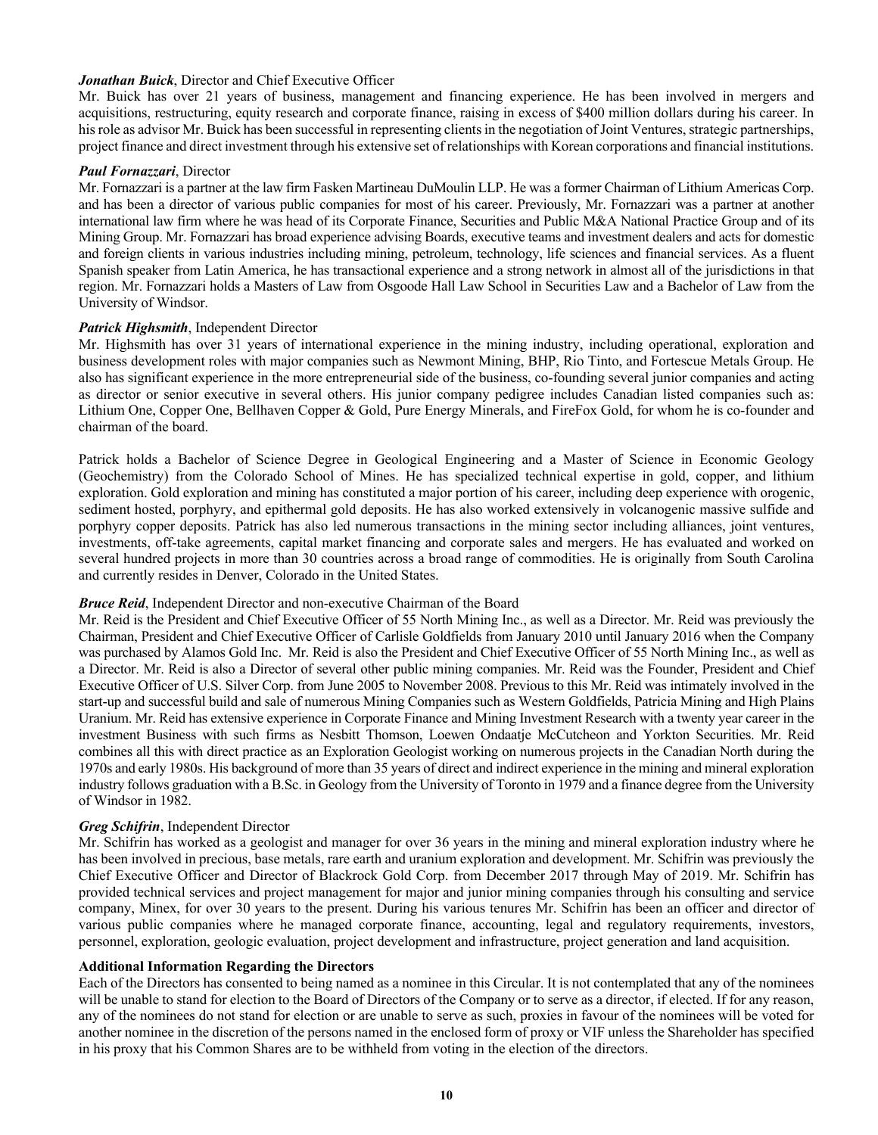## *Jonathan Buick*, Director and Chief Executive Officer

Mr. Buick has over 21 years of business, management and financing experience. He has been involved in mergers and acquisitions, restructuring, equity research and corporate finance, raising in excess of \$400 million dollars during his career. In his role as advisor Mr. Buick has been successful in representing clients in the negotiation of Joint Ventures, strategic partnerships, project finance and direct investment through his extensive set of relationships with Korean corporations and financial institutions.

#### *Paul Fornazzari*, Director

Mr. Fornazzari is a partner at the law firm Fasken Martineau DuMoulin LLP. He was a former Chairman of Lithium Americas Corp. and has been a director of various public companies for most of his career. Previously, Mr. Fornazzari was a partner at another international law firm where he was head of its Corporate Finance, Securities and Public M&A National Practice Group and of its Mining Group. Mr. Fornazzari has broad experience advising Boards, executive teams and investment dealers and acts for domestic and foreign clients in various industries including mining, petroleum, technology, life sciences and financial services. As a fluent Spanish speaker from Latin America, he has transactional experience and a strong network in almost all of the jurisdictions in that region. Mr. Fornazzari holds a Masters of Law from Osgoode Hall Law School in Securities Law and a Bachelor of Law from the University of Windsor.

#### *Patrick Highsmith*, Independent Director

Mr. Highsmith has over 31 years of international experience in the mining industry, including operational, exploration and business development roles with major companies such as Newmont Mining, BHP, Rio Tinto, and Fortescue Metals Group. He also has significant experience in the more entrepreneurial side of the business, co-founding several junior companies and acting as director or senior executive in several others. His junior company pedigree includes Canadian listed companies such as: Lithium One, Copper One, Bellhaven Copper & Gold, Pure Energy Minerals, and FireFox Gold, for whom he is co-founder and chairman of the board.

Patrick holds a Bachelor of Science Degree in Geological Engineering and a Master of Science in Economic Geology (Geochemistry) from the Colorado School of Mines. He has specialized technical expertise in gold, copper, and lithium exploration. Gold exploration and mining has constituted a major portion of his career, including deep experience with orogenic, sediment hosted, porphyry, and epithermal gold deposits. He has also worked extensively in volcanogenic massive sulfide and porphyry copper deposits. Patrick has also led numerous transactions in the mining sector including alliances, joint ventures, investments, off-take agreements, capital market financing and corporate sales and mergers. He has evaluated and worked on several hundred projects in more than 30 countries across a broad range of commodities. He is originally from South Carolina and currently resides in Denver, Colorado in the United States.

#### *Bruce Reid*, Independent Director and non-executive Chairman of the Board

Mr. Reid is the President and Chief Executive Officer of 55 North Mining Inc., as well as a Director. Mr. Reid was previously the Chairman, President and Chief Executive Officer of Carlisle Goldfields from January 2010 until January 2016 when the Company was purchased by Alamos Gold Inc. Mr. Reid is also the President and Chief Executive Officer of 55 North Mining Inc., as well as a Director. Mr. Reid is also a Director of several other public mining companies. Mr. Reid was the Founder, President and Chief Executive Officer of U.S. Silver Corp. from June 2005 to November 2008. Previous to this Mr. Reid was intimately involved in the start-up and successful build and sale of numerous Mining Companies such as Western Goldfields, Patricia Mining and High Plains Uranium. Mr. Reid has extensive experience in Corporate Finance and Mining Investment Research with a twenty year career in the investment Business with such firms as Nesbitt Thomson, Loewen Ondaatje McCutcheon and Yorkton Securities. Mr. Reid combines all this with direct practice as an Exploration Geologist working on numerous projects in the Canadian North during the 1970s and early 1980s. His background of more than 35 years of direct and indirect experience in the mining and mineral exploration industry follows graduation with a B.Sc. in Geology from the University of Toronto in 1979 and a finance degree from the University of Windsor in 1982.

#### *Greg Schifrin*, Independent Director

Mr. Schifrin has worked as a geologist and manager for over 36 years in the mining and mineral exploration industry where he has been involved in precious, base metals, rare earth and uranium exploration and development. Mr. Schifrin was previously the Chief Executive Officer and Director of Blackrock Gold Corp. from December 2017 through May of 2019. Mr. Schifrin has provided technical services and project management for major and junior mining companies through his consulting and service company, Minex, for over 30 years to the present. During his various tenures Mr. Schifrin has been an officer and director of various public companies where he managed corporate finance, accounting, legal and regulatory requirements, investors, personnel, exploration, geologic evaluation, project development and infrastructure, project generation and land acquisition.

#### **Additional Information Regarding the Directors**

Each of the Directors has consented to being named as a nominee in this Circular. It is not contemplated that any of the nominees will be unable to stand for election to the Board of Directors of the Company or to serve as a director, if elected. If for any reason, any of the nominees do not stand for election or are unable to serve as such, proxies in favour of the nominees will be voted for another nominee in the discretion of the persons named in the enclosed form of proxy or VIF unless the Shareholder has specified in his proxy that his Common Shares are to be withheld from voting in the election of the directors.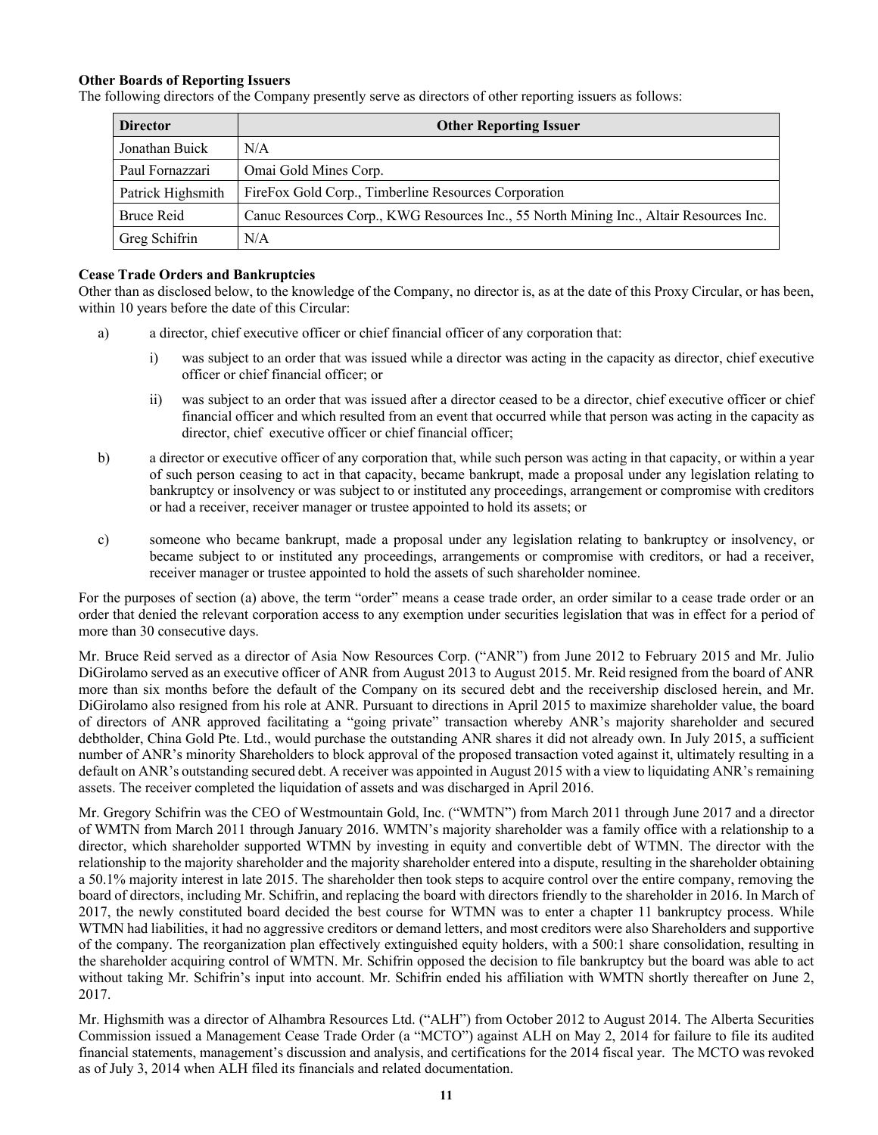## **Other Boards of Reporting Issuers**

The following directors of the Company presently serve as directors of other reporting issuers as follows:

| <b>Director</b>   | <b>Other Reporting Issuer</b>                                                          |
|-------------------|----------------------------------------------------------------------------------------|
| Jonathan Buick    | N/A                                                                                    |
| Paul Fornazzari   | Omai Gold Mines Corp.                                                                  |
| Patrick Highsmith | FireFox Gold Corp., Timberline Resources Corporation                                   |
| <b>Bruce Reid</b> | Canuc Resources Corp., KWG Resources Inc., 55 North Mining Inc., Altair Resources Inc. |
| Greg Schifrin     | N/A                                                                                    |

#### **Cease Trade Orders and Bankruptcies**

Other than as disclosed below, to the knowledge of the Company, no director is, as at the date of this Proxy Circular, or has been, within 10 years before the date of this Circular:

- a) a director, chief executive officer or chief financial officer of any corporation that:
	- i) was subject to an order that was issued while a director was acting in the capacity as director, chief executive officer or chief financial officer; or
	- ii) was subject to an order that was issued after a director ceased to be a director, chief executive officer or chief financial officer and which resulted from an event that occurred while that person was acting in the capacity as director, chief executive officer or chief financial officer;
- b) a director or executive officer of any corporation that, while such person was acting in that capacity, or within a year of such person ceasing to act in that capacity, became bankrupt, made a proposal under any legislation relating to bankruptcy or insolvency or was subject to or instituted any proceedings, arrangement or compromise with creditors or had a receiver, receiver manager or trustee appointed to hold its assets; or
- c) someone who became bankrupt, made a proposal under any legislation relating to bankruptcy or insolvency, or became subject to or instituted any proceedings, arrangements or compromise with creditors, or had a receiver, receiver manager or trustee appointed to hold the assets of such shareholder nominee.

For the purposes of section (a) above, the term "order" means a cease trade order, an order similar to a cease trade order or an order that denied the relevant corporation access to any exemption under securities legislation that was in effect for a period of more than 30 consecutive days.

Mr. Bruce Reid served as a director of Asia Now Resources Corp. ("ANR") from June 2012 to February 2015 and Mr. Julio DiGirolamo served as an executive officer of ANR from August 2013 to August 2015. Mr. Reid resigned from the board of ANR more than six months before the default of the Company on its secured debt and the receivership disclosed herein, and Mr. DiGirolamo also resigned from his role at ANR. Pursuant to directions in April 2015 to maximize shareholder value, the board of directors of ANR approved facilitating a "going private" transaction whereby ANR's majority shareholder and secured debtholder, China Gold Pte. Ltd., would purchase the outstanding ANR shares it did not already own. In July 2015, a sufficient number of ANR's minority Shareholders to block approval of the proposed transaction voted against it, ultimately resulting in a default on ANR's outstanding secured debt. A receiver was appointed in August 2015 with a view to liquidating ANR's remaining assets. The receiver completed the liquidation of assets and was discharged in April 2016.

Mr. Gregory Schifrin was the CEO of Westmountain Gold, Inc. ("WMTN") from March 2011 through June 2017 and a director of WMTN from March 2011 through January 2016. WMTN's majority shareholder was a family office with a relationship to a director, which shareholder supported WTMN by investing in equity and convertible debt of WTMN. The director with the relationship to the majority shareholder and the majority shareholder entered into a dispute, resulting in the shareholder obtaining a 50.1% majority interest in late 2015. The shareholder then took steps to acquire control over the entire company, removing the board of directors, including Mr. Schifrin, and replacing the board with directors friendly to the shareholder in 2016. In March of 2017, the newly constituted board decided the best course for WTMN was to enter a chapter 11 bankruptcy process. While WTMN had liabilities, it had no aggressive creditors or demand letters, and most creditors were also Shareholders and supportive of the company. The reorganization plan effectively extinguished equity holders, with a 500:1 share consolidation, resulting in the shareholder acquiring control of WMTN. Mr. Schifrin opposed the decision to file bankruptcy but the board was able to act without taking Mr. Schifrin's input into account. Mr. Schifrin ended his affiliation with WMTN shortly thereafter on June 2, 2017.

Mr. Highsmith was a director of Alhambra Resources Ltd. ("ALH") from October 2012 to August 2014. The Alberta Securities Commission issued a Management Cease Trade Order (a "MCTO") against ALH on May 2, 2014 for failure to file its audited financial statements, management's discussion and analysis, and certifications for the 2014 fiscal year. The MCTO was revoked as of July 3, 2014 when ALH filed its financials and related documentation.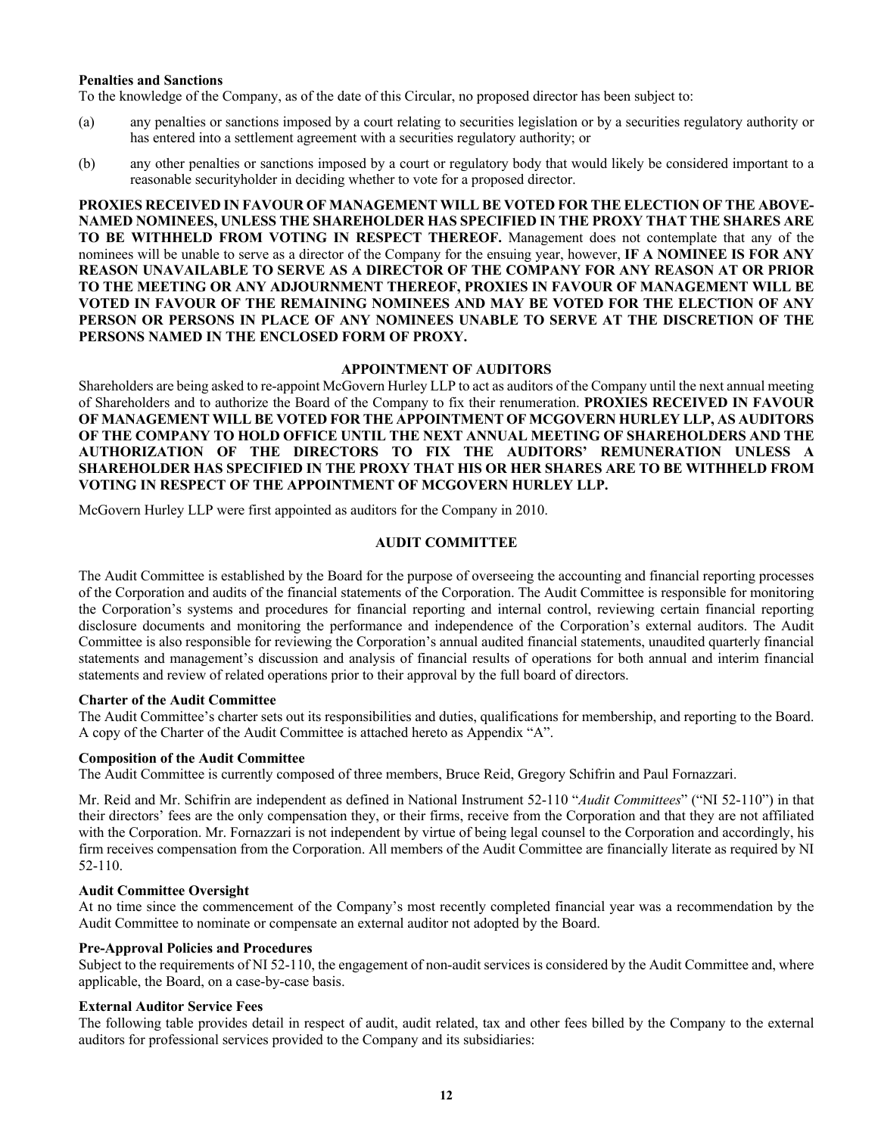#### **Penalties and Sanctions**

To the knowledge of the Company, as of the date of this Circular, no proposed director has been subject to:

- (a) any penalties or sanctions imposed by a court relating to securities legislation or by a securities regulatory authority or has entered into a settlement agreement with a securities regulatory authority; or
- (b) any other penalties or sanctions imposed by a court or regulatory body that would likely be considered important to a reasonable securityholder in deciding whether to vote for a proposed director.

**PROXIES RECEIVED IN FAVOUR OF MANAGEMENT WILL BE VOTED FOR THE ELECTION OF THE ABOVE-NAMED NOMINEES, UNLESS THE SHAREHOLDER HAS SPECIFIED IN THE PROXY THAT THE SHARES ARE TO BE WITHHELD FROM VOTING IN RESPECT THEREOF.** Management does not contemplate that any of the nominees will be unable to serve as a director of the Company for the ensuing year, however, **IF A NOMINEE IS FOR ANY REASON UNAVAILABLE TO SERVE AS A DIRECTOR OF THE COMPANY FOR ANY REASON AT OR PRIOR TO THE MEETING OR ANY ADJOURNMENT THEREOF, PROXIES IN FAVOUR OF MANAGEMENT WILL BE VOTED IN FAVOUR OF THE REMAINING NOMINEES AND MAY BE VOTED FOR THE ELECTION OF ANY PERSON OR PERSONS IN PLACE OF ANY NOMINEES UNABLE TO SERVE AT THE DISCRETION OF THE PERSONS NAMED IN THE ENCLOSED FORM OF PROXY.** 

#### **APPOINTMENT OF AUDITORS**

Shareholders are being asked to re-appoint McGovern Hurley LLP to act as auditors of the Company until the next annual meeting of Shareholders and to authorize the Board of the Company to fix their renumeration. **PROXIES RECEIVED IN FAVOUR OF MANAGEMENT WILL BE VOTED FOR THE APPOINTMENT OF MCGOVERN HURLEY LLP, AS AUDITORS OF THE COMPANY TO HOLD OFFICE UNTIL THE NEXT ANNUAL MEETING OF SHAREHOLDERS AND THE AUTHORIZATION OF THE DIRECTORS TO FIX THE AUDITORS' REMUNERATION UNLESS A SHAREHOLDER HAS SPECIFIED IN THE PROXY THAT HIS OR HER SHARES ARE TO BE WITHHELD FROM VOTING IN RESPECT OF THE APPOINTMENT OF MCGOVERN HURLEY LLP.**

McGovern Hurley LLP were first appointed as auditors for the Company in 2010.

#### **AUDIT COMMITTEE**

The Audit Committee is established by the Board for the purpose of overseeing the accounting and financial reporting processes of the Corporation and audits of the financial statements of the Corporation. The Audit Committee is responsible for monitoring the Corporation's systems and procedures for financial reporting and internal control, reviewing certain financial reporting disclosure documents and monitoring the performance and independence of the Corporation's external auditors. The Audit Committee is also responsible for reviewing the Corporation's annual audited financial statements, unaudited quarterly financial statements and management's discussion and analysis of financial results of operations for both annual and interim financial statements and review of related operations prior to their approval by the full board of directors.

#### **Charter of the Audit Committee**

The Audit Committee's charter sets out its responsibilities and duties, qualifications for membership, and reporting to the Board. A copy of the Charter of the Audit Committee is attached hereto as Appendix "A".

#### **Composition of the Audit Committee**

The Audit Committee is currently composed of three members, Bruce Reid, Gregory Schifrin and Paul Fornazzari.

Mr. Reid and Mr. Schifrin are independent as defined in National Instrument 52-110 "*Audit Committees*" ("NI 52-110") in that their directors' fees are the only compensation they, or their firms, receive from the Corporation and that they are not affiliated with the Corporation. Mr. Fornazzari is not independent by virtue of being legal counsel to the Corporation and accordingly, his firm receives compensation from the Corporation. All members of the Audit Committee are financially literate as required by NI 52-110.

## **Audit Committee Oversight**

At no time since the commencement of the Company's most recently completed financial year was a recommendation by the Audit Committee to nominate or compensate an external auditor not adopted by the Board.

#### **Pre-Approval Policies and Procedures**

Subject to the requirements of NI 52-110, the engagement of non-audit services is considered by the Audit Committee and, where applicable, the Board, on a case-by-case basis.

#### **External Auditor Service Fees**

The following table provides detail in respect of audit, audit related, tax and other fees billed by the Company to the external auditors for professional services provided to the Company and its subsidiaries: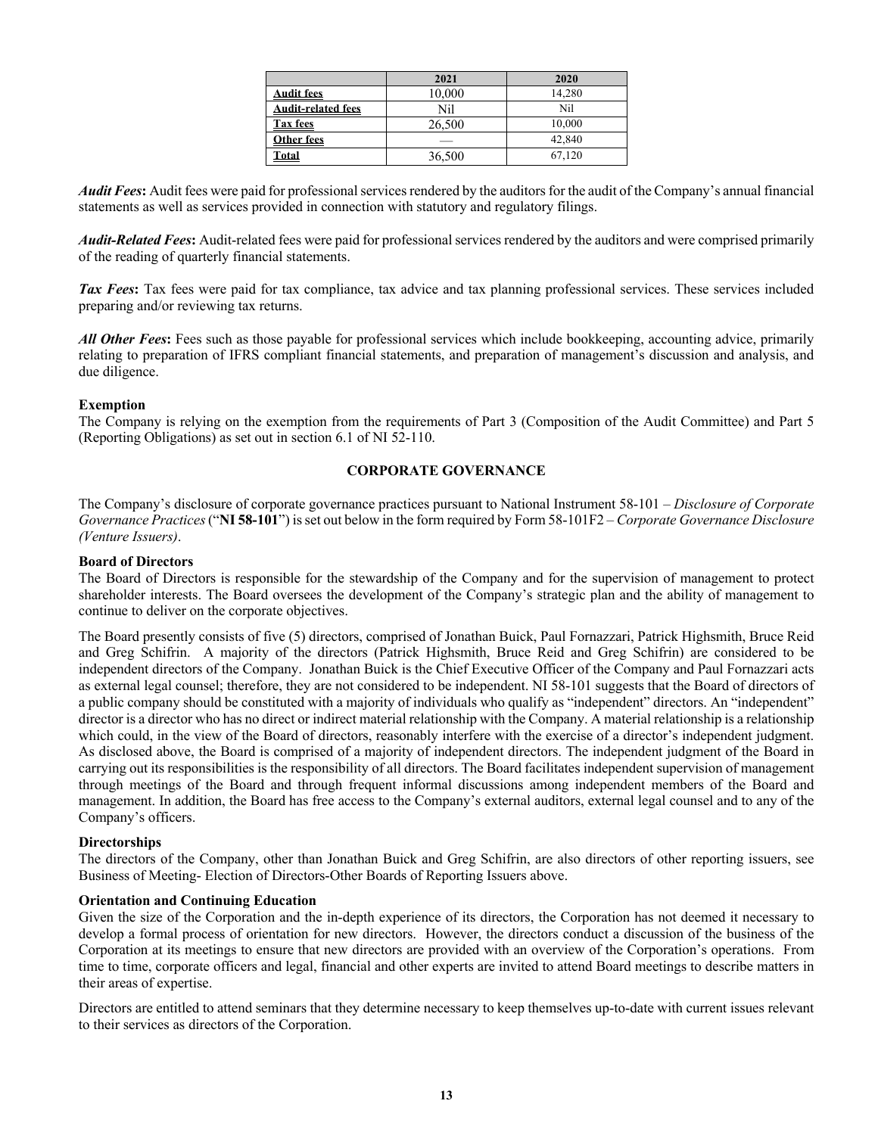|                           | 2021   | 2020   |
|---------------------------|--------|--------|
| <b>Audit fees</b>         | 10,000 | 14,280 |
| <b>Audit-related fees</b> | Nil    | Nil    |
| <b>Tax fees</b>           | 26,500 | 10,000 |
| Other fees                |        | 42,840 |
| Total                     | 36,500 | 67.120 |

*Audit Fees***:** Audit fees were paid for professional services rendered by the auditors for the audit of the Company's annual financial statements as well as services provided in connection with statutory and regulatory filings.

*Audit-Related Fees***:** Audit-related fees were paid for professional services rendered by the auditors and were comprised primarily of the reading of quarterly financial statements.

*Tax Fees*: Tax fees were paid for tax compliance, tax advice and tax planning professional services. These services included preparing and/or reviewing tax returns.

*All Other Fees***:** Fees such as those payable for professional services which include bookkeeping, accounting advice, primarily relating to preparation of IFRS compliant financial statements, and preparation of management's discussion and analysis, and due diligence.

#### **Exemption**

The Company is relying on the exemption from the requirements of Part 3 (Composition of the Audit Committee) and Part 5 (Reporting Obligations) as set out in section 6.1 of NI 52-110.

#### **CORPORATE GOVERNANCE**

The Company's disclosure of corporate governance practices pursuant to National Instrument 58-101 – *Disclosure of Corporate Governance Practices*("**NI 58-101**") is set out below in the form required by Form 58-101F2 – *Corporate Governance Disclosure (Venture Issuers)*.

#### **Board of Directors**

The Board of Directors is responsible for the stewardship of the Company and for the supervision of management to protect shareholder interests. The Board oversees the development of the Company's strategic plan and the ability of management to continue to deliver on the corporate objectives.

The Board presently consists of five (5) directors, comprised of Jonathan Buick, Paul Fornazzari, Patrick Highsmith, Bruce Reid and Greg Schifrin. A majority of the directors (Patrick Highsmith, Bruce Reid and Greg Schifrin) are considered to be independent directors of the Company. Jonathan Buick is the Chief Executive Officer of the Company and Paul Fornazzari acts as external legal counsel; therefore, they are not considered to be independent. NI 58-101 suggests that the Board of directors of a public company should be constituted with a majority of individuals who qualify as "independent" directors. An "independent" director is a director who has no direct or indirect material relationship with the Company. A material relationship is a relationship which could, in the view of the Board of directors, reasonably interfere with the exercise of a director's independent judgment. As disclosed above, the Board is comprised of a majority of independent directors. The independent judgment of the Board in carrying out its responsibilities is the responsibility of all directors. The Board facilitates independent supervision of management through meetings of the Board and through frequent informal discussions among independent members of the Board and management. In addition, the Board has free access to the Company's external auditors, external legal counsel and to any of the Company's officers.

#### **Directorships**

The directors of the Company, other than Jonathan Buick and Greg Schifrin, are also directors of other reporting issuers, see Business of Meeting- Election of Directors-Other Boards of Reporting Issuers above.

#### **Orientation and Continuing Education**

Given the size of the Corporation and the in-depth experience of its directors, the Corporation has not deemed it necessary to develop a formal process of orientation for new directors. However, the directors conduct a discussion of the business of the Corporation at its meetings to ensure that new directors are provided with an overview of the Corporation's operations. From time to time, corporate officers and legal, financial and other experts are invited to attend Board meetings to describe matters in their areas of expertise.

Directors are entitled to attend seminars that they determine necessary to keep themselves up-to-date with current issues relevant to their services as directors of the Corporation.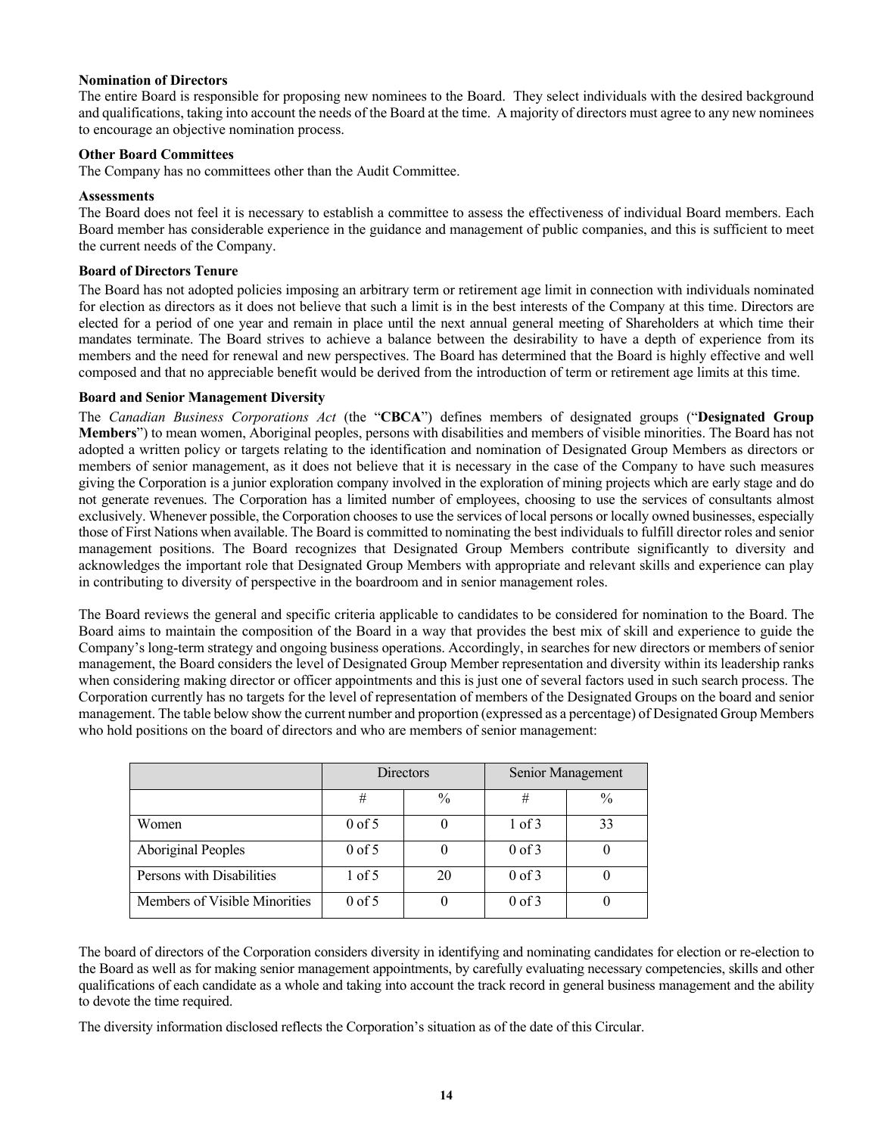## **Nomination of Directors**

The entire Board is responsible for proposing new nominees to the Board. They select individuals with the desired background and qualifications, taking into account the needs of the Board at the time. A majority of directors must agree to any new nominees to encourage an objective nomination process.

#### **Other Board Committees**

The Company has no committees other than the Audit Committee.

#### **Assessments**

The Board does not feel it is necessary to establish a committee to assess the effectiveness of individual Board members. Each Board member has considerable experience in the guidance and management of public companies, and this is sufficient to meet the current needs of the Company.

#### **Board of Directors Tenure**

The Board has not adopted policies imposing an arbitrary term or retirement age limit in connection with individuals nominated for election as directors as it does not believe that such a limit is in the best interests of the Company at this time. Directors are elected for a period of one year and remain in place until the next annual general meeting of Shareholders at which time their mandates terminate. The Board strives to achieve a balance between the desirability to have a depth of experience from its members and the need for renewal and new perspectives. The Board has determined that the Board is highly effective and well composed and that no appreciable benefit would be derived from the introduction of term or retirement age limits at this time.

#### **Board and Senior Management Diversity**

The *Canadian Business Corporations Act* (the "**CBCA**") defines members of designated groups ("**Designated Group Members**") to mean women, Aboriginal peoples, persons with disabilities and members of visible minorities. The Board has not adopted a written policy or targets relating to the identification and nomination of Designated Group Members as directors or members of senior management, as it does not believe that it is necessary in the case of the Company to have such measures giving the Corporation is a junior exploration company involved in the exploration of mining projects which are early stage and do not generate revenues. The Corporation has a limited number of employees, choosing to use the services of consultants almost exclusively. Whenever possible, the Corporation chooses to use the services of local persons or locally owned businesses, especially those of First Nations when available. The Board is committed to nominating the best individuals to fulfill director roles and senior management positions. The Board recognizes that Designated Group Members contribute significantly to diversity and acknowledges the important role that Designated Group Members with appropriate and relevant skills and experience can play in contributing to diversity of perspective in the boardroom and in senior management roles.

The Board reviews the general and specific criteria applicable to candidates to be considered for nomination to the Board. The Board aims to maintain the composition of the Board in a way that provides the best mix of skill and experience to guide the Company's long-term strategy and ongoing business operations. Accordingly, in searches for new directors or members of senior management, the Board considers the level of Designated Group Member representation and diversity within its leadership ranks when considering making director or officer appointments and this is just one of several factors used in such search process. The Corporation currently has no targets for the level of representation of members of the Designated Groups on the board and senior management. The table below show the current number and proportion (expressed as a percentage) of Designated Group Members who hold positions on the board of directors and who are members of senior management:

|                               | <b>Directors</b> |               | Senior Management |               |
|-------------------------------|------------------|---------------|-------------------|---------------|
|                               | #                | $\frac{0}{0}$ | #                 | $\frac{0}{0}$ |
| Women                         | $0$ of 5         |               | $1$ of $3$        | 33            |
| <b>Aboriginal Peoples</b>     | $0$ of 5         |               | $0$ of $3$        |               |
| Persons with Disabilities     | $1$ of 5         | 20            | $0$ of $3$        |               |
| Members of Visible Minorities | $0$ of 5         |               | $0$ of $3$        |               |

The board of directors of the Corporation considers diversity in identifying and nominating candidates for election or re-election to the Board as well as for making senior management appointments, by carefully evaluating necessary competencies, skills and other qualifications of each candidate as a whole and taking into account the track record in general business management and the ability to devote the time required.

The diversity information disclosed reflects the Corporation's situation as of the date of this Circular.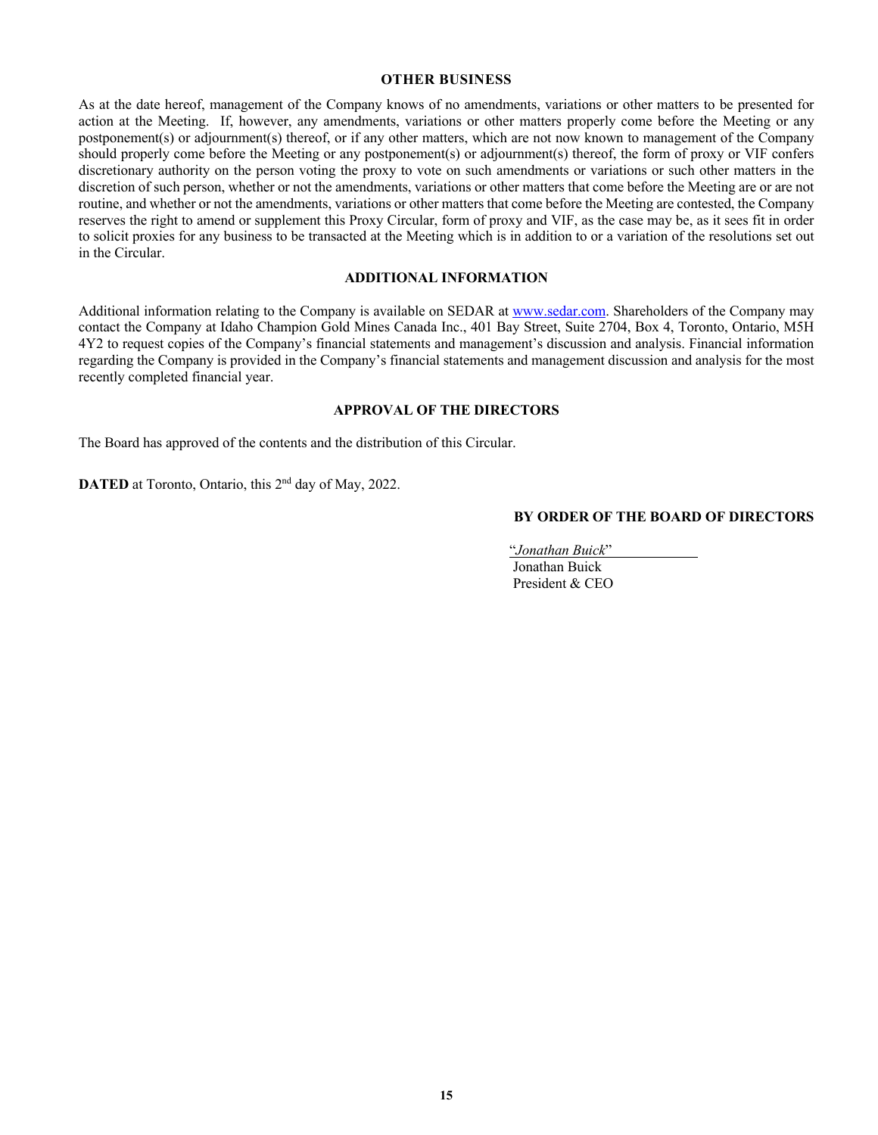#### **OTHER BUSINESS**

As at the date hereof, management of the Company knows of no amendments, variations or other matters to be presented for action at the Meeting. If, however, any amendments, variations or other matters properly come before the Meeting or any postponement(s) or adjournment(s) thereof, or if any other matters, which are not now known to management of the Company should properly come before the Meeting or any postponement(s) or adjournment(s) thereof, the form of proxy or VIF confers discretionary authority on the person voting the proxy to vote on such amendments or variations or such other matters in the discretion of such person, whether or not the amendments, variations or other matters that come before the Meeting are or are not routine, and whether or not the amendments, variations or other matters that come before the Meeting are contested, the Company reserves the right to amend or supplement this Proxy Circular, form of proxy and VIF, as the case may be, as it sees fit in order to solicit proxies for any business to be transacted at the Meeting which is in addition to or a variation of the resolutions set out in the Circular.

## **ADDITIONAL INFORMATION**

Additional information relating to the Company is available on SEDAR at www.sedar.com. Shareholders of the Company may contact the Company at Idaho Champion Gold Mines Canada Inc., 401 Bay Street, Suite 2704, Box 4, Toronto, Ontario, M5H 4Y2 to request copies of the Company's financial statements and management's discussion and analysis. Financial information regarding the Company is provided in the Company's financial statements and management discussion and analysis for the most recently completed financial year.

#### **APPROVAL OF THE DIRECTORS**

The Board has approved of the contents and the distribution of this Circular.

**DATED** at Toronto, Ontario, this 2<sup>nd</sup> day of May, 2022.

#### **BY ORDER OF THE BOARD OF DIRECTORS**

"*Jonathan Buick*" .

 Jonathan Buick President & CEO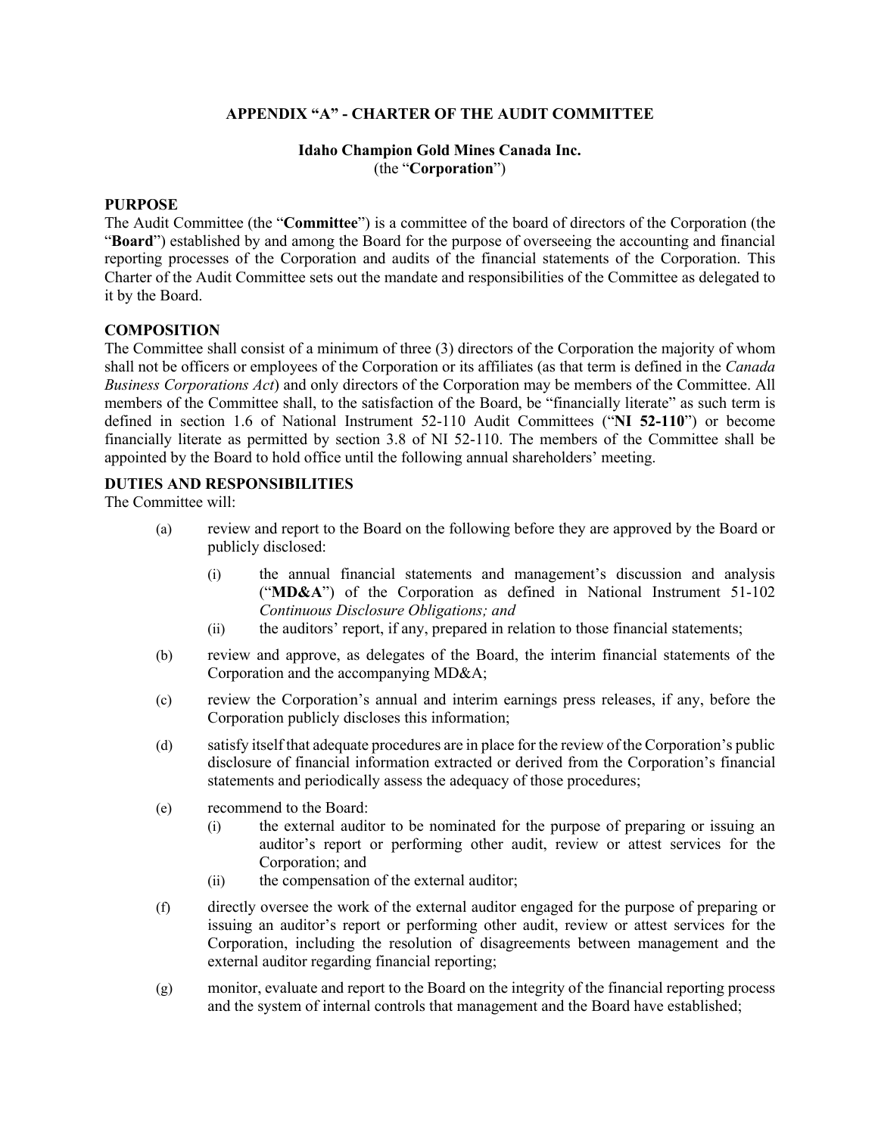# **APPENDIX "A" - CHARTER OF THE AUDIT COMMITTEE**

## **Idaho Champion Gold Mines Canada Inc.**  (the "**Corporation**")

## **PURPOSE**

The Audit Committee (the "**Committee**") is a committee of the board of directors of the Corporation (the "**Board**") established by and among the Board for the purpose of overseeing the accounting and financial reporting processes of the Corporation and audits of the financial statements of the Corporation. This Charter of the Audit Committee sets out the mandate and responsibilities of the Committee as delegated to it by the Board.

## **COMPOSITION**

The Committee shall consist of a minimum of three (3) directors of the Corporation the majority of whom shall not be officers or employees of the Corporation or its affiliates (as that term is defined in the *Canada Business Corporations Act*) and only directors of the Corporation may be members of the Committee. All members of the Committee shall, to the satisfaction of the Board, be "financially literate" as such term is defined in section 1.6 of National Instrument 52-110 Audit Committees ("**NI 52-110**") or become financially literate as permitted by section 3.8 of NI 52-110. The members of the Committee shall be appointed by the Board to hold office until the following annual shareholders' meeting.

## **DUTIES AND RESPONSIBILITIES**

The Committee will:

- (a) review and report to the Board on the following before they are approved by the Board or publicly disclosed:
	- (i) the annual financial statements and management's discussion and analysis ("**MD&A**") of the Corporation as defined in National Instrument 51-102 *Continuous Disclosure Obligations; and*
	- (ii) the auditors' report, if any, prepared in relation to those financial statements;
- (b) review and approve, as delegates of the Board, the interim financial statements of the Corporation and the accompanying MD&A;
- (c) review the Corporation's annual and interim earnings press releases, if any, before the Corporation publicly discloses this information;
- (d) satisfy itself that adequate procedures are in place for the review of the Corporation's public disclosure of financial information extracted or derived from the Corporation's financial statements and periodically assess the adequacy of those procedures;
- (e) recommend to the Board:
	- (i) the external auditor to be nominated for the purpose of preparing or issuing an auditor's report or performing other audit, review or attest services for the Corporation; and
	- (ii) the compensation of the external auditor;
- (f) directly oversee the work of the external auditor engaged for the purpose of preparing or issuing an auditor's report or performing other audit, review or attest services for the Corporation, including the resolution of disagreements between management and the external auditor regarding financial reporting;
- (g) monitor, evaluate and report to the Board on the integrity of the financial reporting process and the system of internal controls that management and the Board have established;